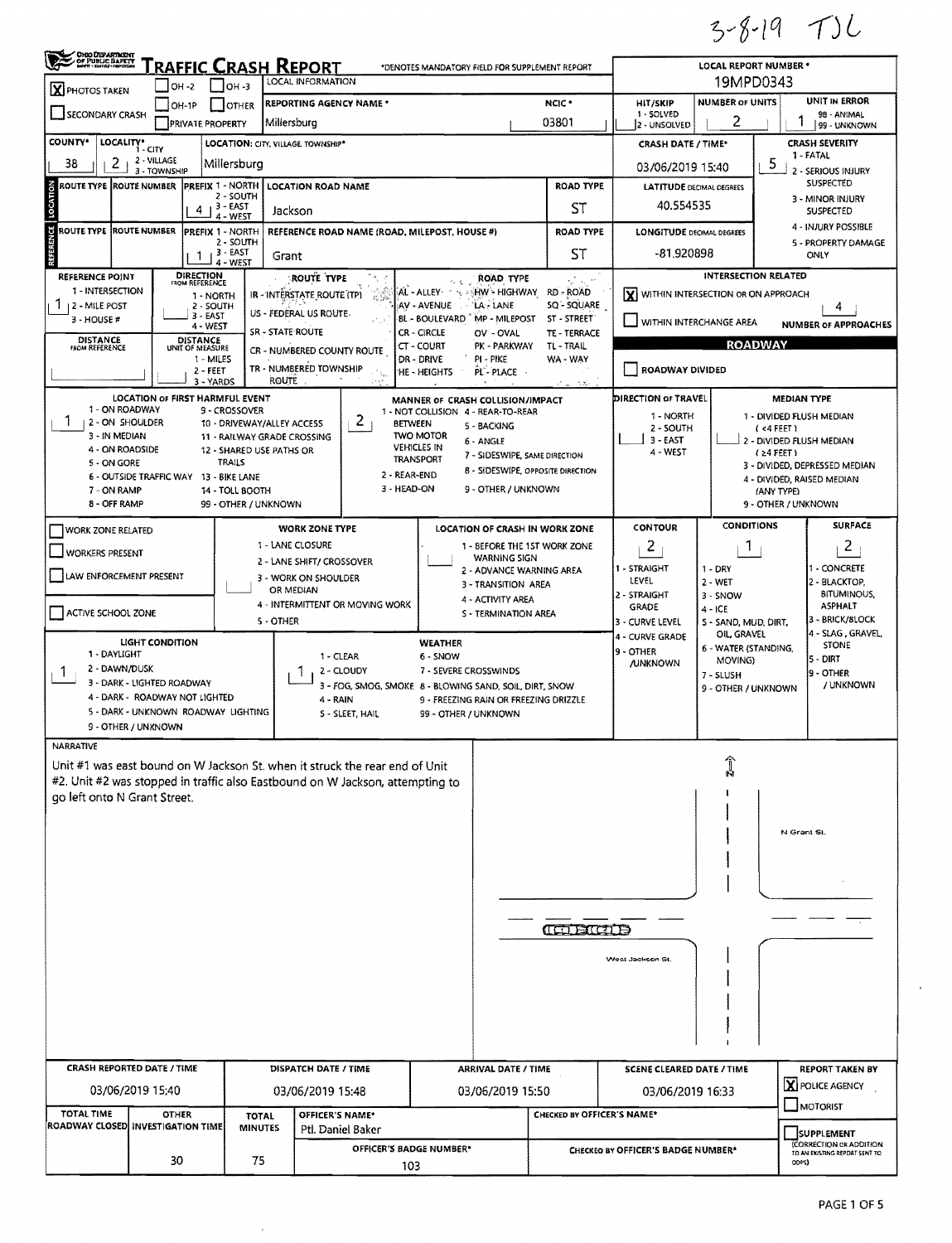$3 - 8 - 19$  TJL

| OHIO DEPARTMENT                                                                                               |                                                                       | RAFFIC CRASH REPORT                |                                             |                                    |                                    |                                 |                                               | *DENOTES MANDATORY FIELD FOR SUPPLEMENT REPORT                |                                   |                                      | <b>LOCAL REPORT NUMBER *</b>        |                                              |                                       |  |  |
|---------------------------------------------------------------------------------------------------------------|-----------------------------------------------------------------------|------------------------------------|---------------------------------------------|------------------------------------|------------------------------------|---------------------------------|-----------------------------------------------|---------------------------------------------------------------|-----------------------------------|--------------------------------------|-------------------------------------|----------------------------------------------|---------------------------------------|--|--|
| X PHOTOS TAKEN                                                                                                | $ $ OH -2                                                             |                                    | $IOH - 3$                                   |                                    | LOCAL INFORMATION                  |                                 |                                               |                                                               |                                   |                                      |                                     | 19MPD0343                                    |                                       |  |  |
| SECONDARY CRASH                                                                                               |                                                                       | IOH-1P                             | <b>OTHER</b>                                |                                    | <b>REPORTING AGENCY NAME *</b>     |                                 |                                               |                                                               | <b>HIT/SKIP</b><br>1 - SOLVED     | <b>NUMBER OF UNITS</b>               |                                     | UNIT IN ERROR<br>98 - ANIMAL                 |                                       |  |  |
|                                                                                                               |                                                                       | <b>PRIVATE PROPERTY</b>            |                                             | Millersburg                        |                                    |                                 |                                               |                                                               | 03801                             | 2 - UNSOLVED                         | 2                                   |                                              | 99 - UNKNOWN                          |  |  |
| <b>COUNTY*</b>                                                                                                | LOCALITY* CITY                                                        |                                    |                                             |                                    | LOCATION: CITY. VILLAGE. TOWNSHIP* |                                 |                                               |                                                               | <b>CRASH DATE / TIME*</b>         |                                      |                                     | <b>CRASH SEVERITY</b><br>1 - FATAL           |                                       |  |  |
| 38                                                                                                            | 2 - VILLAGE<br>2<br>3 - TOWNSHIP                                      |                                    | Millersburg                                 |                                    |                                    |                                 |                                               |                                                               |                                   | 03/06/2019 15:40                     |                                     | -5                                           | 2 - SERIOUS INJURY                    |  |  |
| <b>ROUTE TYPE</b>                                                                                             | <b>ROUTE NUMBER</b>                                                   | <b>PREFIX 1 - NORTH</b>            | 2 - SOUTH                                   |                                    | <b>LOCATION ROAD NAME</b>          |                                 |                                               |                                                               | <b>ROAD TYPE</b>                  |                                      | <b>LATITUDE DECIMAL DEGREES</b>     |                                              | SUSPECTED                             |  |  |
|                                                                                                               |                                                                       | $4 + 3 - EAST$                     | 4 - WEST                                    | Jackson                            |                                    |                                 |                                               |                                                               | ST                                | 40.554535                            |                                     | 3 - MINOR INJURY<br><b>SUSPECTED</b>         |                                       |  |  |
| ซ                                                                                                             | ROUTE TYPE ROUTE NUMBER                                               | <b>PREFIX 1 - NORTH</b>            |                                             |                                    |                                    |                                 | REFERENCE ROAD NAME (ROAD, MILEPOST, HOUSE #) |                                                               | <b>ROAD TYPE</b>                  | <b>LONGITUDE DECIMAL DEGREES</b>     |                                     |                                              | 4 - INJURY POSSIBLE                   |  |  |
|                                                                                                               |                                                                       | 1                                  | 2 - SOUTH<br>, 3 - EAST                     | Grant                              |                                    |                                 |                                               |                                                               |                                   | $-81,920898$                         |                                     |                                              | 5 - PROPERTY DAMAGE<br>ONLY           |  |  |
| <b>REFERENCE POINT</b>                                                                                        |                                                                       | <b>DIRECTION</b><br>FROM REFERENCE | 4 - WEST                                    |                                    | <b>ROUTE TYPE</b>                  |                                 |                                               | ROAD TYPE                                                     |                                   |                                      | <b>INTERSECTION RELATED</b>         |                                              |                                       |  |  |
| 1 - INTERSECTION                                                                                              |                                                                       | 1 - NORTH                          |                                             |                                    | IR - INTERSTATE ROUTE (TP)         | 岩岛                              |                                               | AL - ALLEY YA YARAN - HIGHWAY RD - ROAD                       |                                   | X WITHIN INTERSECTION OR ON APPROACH |                                     |                                              |                                       |  |  |
| 1 <sub>12</sub> - MILE POST<br>$3 - HOUSE #$                                                                  |                                                                       | 2 - SOUTH<br>$3 - EAST$            |                                             |                                    | US - FEDERAL US ROUTE.             |                                 | AV - AVENUE<br>BL - BOULEVARD                 | LA - LANE<br>MP - MILEPOST                                    | SQ - SQUARE<br>ST - STREET        | WITHIN INTERCHANGE AREA              |                                     |                                              | 4<br><b>NUMBER OF APPROACHES</b>      |  |  |
| <b>DISTANCE</b>                                                                                               |                                                                       | 4 - WEST<br><b>DISTANCE</b>        |                                             | SR - STATE ROUTE                   |                                    |                                 | CR - CIRCLE                                   | OV - OVAL                                                     | TE - TERRACE                      |                                      |                                     | <b>ROADWAY</b>                               |                                       |  |  |
| <b>FROM REFERENCE</b>                                                                                         |                                                                       | UNIT OF MEASURE<br>1 - MILES       |                                             |                                    | CR - NUMBERED COUNTY ROUTE         |                                 | CT-COURT<br>DR - DRIVE                        | PK - PARKWAY<br>pi - Pike                                     | TL - TRAIL<br>WA - WAY            |                                      |                                     |                                              |                                       |  |  |
|                                                                                                               |                                                                       | 2 - FEET<br>3 - YARDS              |                                             | <b>ROUTE</b>                       | TR - NUMBERED TOWNSHIP             |                                 | 'HE - HEIGHTS                                 | PL-PLACE                                                      | -120                              | ROADWAY DIVIDED                      |                                     |                                              |                                       |  |  |
|                                                                                                               | LOCATION OF FIRST HARMFUL EVENT                                       |                                    |                                             |                                    |                                    |                                 |                                               | MANNER OF CRASH COLLISION/IMPACT                              |                                   | <b>DIRECTION OF TRAVEL</b>           |                                     |                                              | <b>MEDIAN TYPE</b>                    |  |  |
|                                                                                                               | 1 - ON ROADWAY<br>2 - ON SHOULDER                                     |                                    | 9 - CROSSOVER<br>10 - DRIVEWAY/ALLEY ACCESS |                                    |                                    | 2                               | <b>BETWEEN</b>                                | 1 - NOT COLLISION 4 - REAR-TO-REAR<br>5 - BACKING             |                                   | 1 - NORTH                            |                                     |                                              | 1 - DIVIDED FLUSH MEDIAN              |  |  |
|                                                                                                               | 3 - IN MEDIAN                                                         |                                    | 11 - RAILWAY GRADE CROSSING                 |                                    |                                    |                                 | <b>TWO MOTOR</b>                              | 6 - ANGLE                                                     |                                   | 2 - SOUTH<br>$3 - EAST$              |                                     | (4FEE)<br>2 - DIVIDED FLUSH MEDIAN           |                                       |  |  |
| 5 - ON GORE                                                                                                   | 4 - ON ROADSIDE                                                       |                                    | 12 - SHARED USE PATHS OR<br><b>TRAILS</b>   |                                    |                                    |                                 | <b>VEHICLES IN</b><br><b>TRANSPORT</b>        | 7 - SIDESWIPE, SAME DIRECTION                                 |                                   | 4 - WEST                             |                                     | $(24$ FEET)<br>3 - DIVIDED, DEPRESSED MEDIAN |                                       |  |  |
|                                                                                                               | 6 - OUTSIDE TRAFFIC WAY 13 - BIKE LANE                                |                                    |                                             |                                    |                                    |                                 | 2 - REAR-END                                  |                                                               | 8 - SIDESWIPE, OPPOSITE DIRECTION |                                      |                                     | (ANY TYPE)                                   | 4 - DIVIDED, RAISED MEDIAN            |  |  |
| 7 - ON RAMP                                                                                                   | 8 - OFF RAMP                                                          |                                    | 14 - TOLL BOOTH<br>99 - OTHER / UNKNOWN     | 3 - HEAD-ON<br>9 - OTHER / UNKNOWN |                                    |                                 |                                               |                                                               |                                   |                                      |                                     | 9 - OTHER / UNKNOWN                          |                                       |  |  |
| WORK ZONE RELATED                                                                                             |                                                                       |                                    |                                             |                                    | <b>WORK ZONE TYPE</b>              |                                 |                                               | <b>LOCATION OF CRASH IN WORK ZONE</b>                         |                                   | CONTOUR                              | <b>CONDITIONS</b>                   |                                              | <b>SURFACE</b>                        |  |  |
|                                                                                                               |                                                                       |                                    |                                             |                                    | 1 - LANE CLOSURE                   |                                 |                                               | 1 - BEFORE THE 1ST WORK ZONE                                  |                                   | 2                                    | $\vert$ 1                           |                                              | $\overline{c}$                        |  |  |
| WORKERS PRESENT                                                                                               |                                                                       |                                    |                                             | 2 - LANE SHIFT/ CROSSOVER          |                                    |                                 |                                               | <b>WARNING SIGN</b><br>2 - ADVANCE WARNING AREA               |                                   | 1 - STRAIGHT                         | $1 - DRY$                           |                                              | 1 - CONCRETE                          |  |  |
| LAW ENFORCEMENT PRESENT                                                                                       |                                                                       |                                    |                                             | OR MEDIAN                          | 3 - WORK ON SHOULDER               |                                 |                                               | 3 - TRANSITION AREA                                           |                                   | LEVEL                                | 2 - WET                             |                                              | 2 - BLACKTOP.                         |  |  |
|                                                                                                               |                                                                       |                                    |                                             |                                    |                                    | 4 - INTERMITTENT OR MOVING WORK |                                               | 4 - ACTIVITY AREA                                             |                                   | 2 - STRAIGHT<br>GRADE                | 3 - SNOW<br>4 - ICE                 |                                              | <b>BITUMINOUS,</b><br><b>ASPHALT</b>  |  |  |
| ACTIVE SCHOOL ZONE                                                                                            |                                                                       |                                    |                                             | S - TERMINATION AREA<br>5 - OTHER  |                                    |                                 |                                               |                                                               |                                   | 3 - CURVE LEVEL                      | 5 - SAND, MUD, DIRT,                |                                              | 3 - BRICK/SLOCK<br>4 - SLAG, GRAVEL,  |  |  |
| 1 - DAYLIGHT                                                                                                  | LIGHT CONDITION                                                       |                                    |                                             |                                    |                                    |                                 | <b>WEATHER</b>                                |                                                               |                                   | 4 - CURVE GRADE<br>9 - OTHER         | OIL, GRAVEL<br>6 - WATER (STANDING, |                                              | <b>STONE</b>                          |  |  |
| T.                                                                                                            | 2 - DAWN/DUSK                                                         |                                    |                                             |                                    | 1 - CLEAR<br>2 - CLOUDY            |                                 | 6 - SNOW                                      | 7 - SEVERE CROSSWINDS                                         | <b>/UNKNOWN</b>                   | MOVING)<br>7 - SLUSH                 |                                     | 5 - DIRT<br>9 - OTHER<br>/ UNKNOWN           |                                       |  |  |
|                                                                                                               | 3 - DARK - LIGHTED ROADWAY                                            |                                    |                                             |                                    |                                    |                                 |                                               | 3 - FOG, SMOG, SMOKE 8 - BLOWING SAND, SOIL, DIRT, SNOW       |                                   | 9 - OTHER / UNKNOWN                  |                                     |                                              |                                       |  |  |
|                                                                                                               | 4 - DARK - ROADWAY NOT LIGHTED<br>5 - DARK - UNKNOWN ROADWAY LIGHTING |                                    |                                             |                                    | 4 - RAIN                           | S - SLEET, HAIL                 |                                               | 9 - FREEZING RAIN OR FREEZING DRIZZLE<br>99 - OTHER / UNKNOWN |                                   |                                      |                                     |                                              |                                       |  |  |
|                                                                                                               | 9 - OTHER / UNKNOWN                                                   |                                    |                                             |                                    |                                    |                                 |                                               |                                                               |                                   |                                      |                                     |                                              |                                       |  |  |
| NARRATIVE                                                                                                     |                                                                       |                                    |                                             |                                    |                                    |                                 |                                               |                                                               |                                   |                                      |                                     |                                              |                                       |  |  |
| Unit #1 was east bound on W Jackson St. when it struck the rear end of Unit                                   |                                                                       |                                    |                                             |                                    |                                    |                                 |                                               |                                                               |                                   |                                      |                                     |                                              |                                       |  |  |
| #2. Unit #2 was stopped in traffic also Eastbound on W Jackson, attempting to<br>go left onto N Grant Street. |                                                                       |                                    |                                             |                                    |                                    |                                 |                                               |                                                               |                                   |                                      |                                     |                                              |                                       |  |  |
|                                                                                                               |                                                                       |                                    |                                             |                                    |                                    |                                 |                                               |                                                               |                                   |                                      |                                     |                                              |                                       |  |  |
|                                                                                                               |                                                                       |                                    |                                             |                                    |                                    |                                 |                                               |                                                               |                                   |                                      |                                     |                                              | N Grant St.                           |  |  |
|                                                                                                               |                                                                       |                                    |                                             |                                    |                                    |                                 |                                               |                                                               |                                   |                                      |                                     |                                              |                                       |  |  |
|                                                                                                               |                                                                       |                                    |                                             |                                    |                                    |                                 |                                               |                                                               |                                   |                                      |                                     |                                              |                                       |  |  |
|                                                                                                               |                                                                       |                                    |                                             |                                    |                                    |                                 |                                               |                                                               |                                   |                                      |                                     |                                              |                                       |  |  |
|                                                                                                               |                                                                       |                                    |                                             |                                    |                                    |                                 |                                               |                                                               |                                   |                                      |                                     |                                              |                                       |  |  |
|                                                                                                               |                                                                       |                                    |                                             |                                    |                                    |                                 |                                               |                                                               | CODECTO                           |                                      |                                     |                                              |                                       |  |  |
|                                                                                                               |                                                                       |                                    |                                             |                                    |                                    |                                 |                                               |                                                               |                                   | West Jackson St.                     |                                     |                                              |                                       |  |  |
|                                                                                                               |                                                                       |                                    |                                             |                                    |                                    |                                 |                                               |                                                               |                                   |                                      |                                     |                                              |                                       |  |  |
|                                                                                                               |                                                                       |                                    |                                             |                                    |                                    |                                 |                                               |                                                               |                                   |                                      |                                     |                                              |                                       |  |  |
|                                                                                                               |                                                                       |                                    |                                             |                                    |                                    |                                 |                                               |                                                               |                                   |                                      |                                     |                                              |                                       |  |  |
|                                                                                                               |                                                                       |                                    |                                             |                                    |                                    |                                 |                                               |                                                               |                                   |                                      |                                     |                                              |                                       |  |  |
|                                                                                                               | <b>CRASH REPORTED DATE / TIME</b>                                     |                                    |                                             |                                    |                                    |                                 |                                               |                                                               |                                   |                                      |                                     |                                              |                                       |  |  |
|                                                                                                               |                                                                       |                                    |                                             | DISPATCH DATE / TIME               |                                    |                                 |                                               | <b>ARRIVAL DATE / TIME</b>                                    | SCENE CLEARED DATE / TIME         |                                      |                                     | <b>REPORT TAKEN BY</b><br>X POLICE AGENCY    |                                       |  |  |
|                                                                                                               | 03/06/2019 15:40                                                      |                                    |                                             |                                    | 03/06/2019 15:48                   |                                 |                                               | 03/06/2019 15:50                                              |                                   | 03/06/2019 16:33                     |                                     |                                              | MOTORIST                              |  |  |
| <b>TOTAL TIME</b><br>ROADWAY CLOSED INVESTIGATION TIME                                                        | <b>OTHER</b>                                                          |                                    | <b>TOTAL</b><br><b>MINUTES</b>              |                                    | OFFICER'S NAME*                    |                                 |                                               |                                                               | CHECKED BY OFFICER'S NAME*        |                                      |                                     |                                              |                                       |  |  |
|                                                                                                               |                                                                       |                                    |                                             |                                    | Pti. Daniel Baker                  |                                 | OFFICER'S BADGE NUMBER*                       |                                                               |                                   |                                      |                                     |                                              | SUPPLEMENT<br>(CORRECTION OR ADDITION |  |  |
|                                                                                                               | 30                                                                    |                                    | 75                                          |                                    |                                    |                                 | 103                                           |                                                               |                                   | CHECKED BY OFFICER'S BADGE NUMBER*   |                                     |                                              | TO AN EXISTING REPORT SENT TO         |  |  |
|                                                                                                               |                                                                       |                                    |                                             |                                    |                                    |                                 |                                               |                                                               |                                   |                                      |                                     | ODPS)                                        |                                       |  |  |

 $\sim$   $\epsilon$ 

 $\mathcal{L}^{(1)}$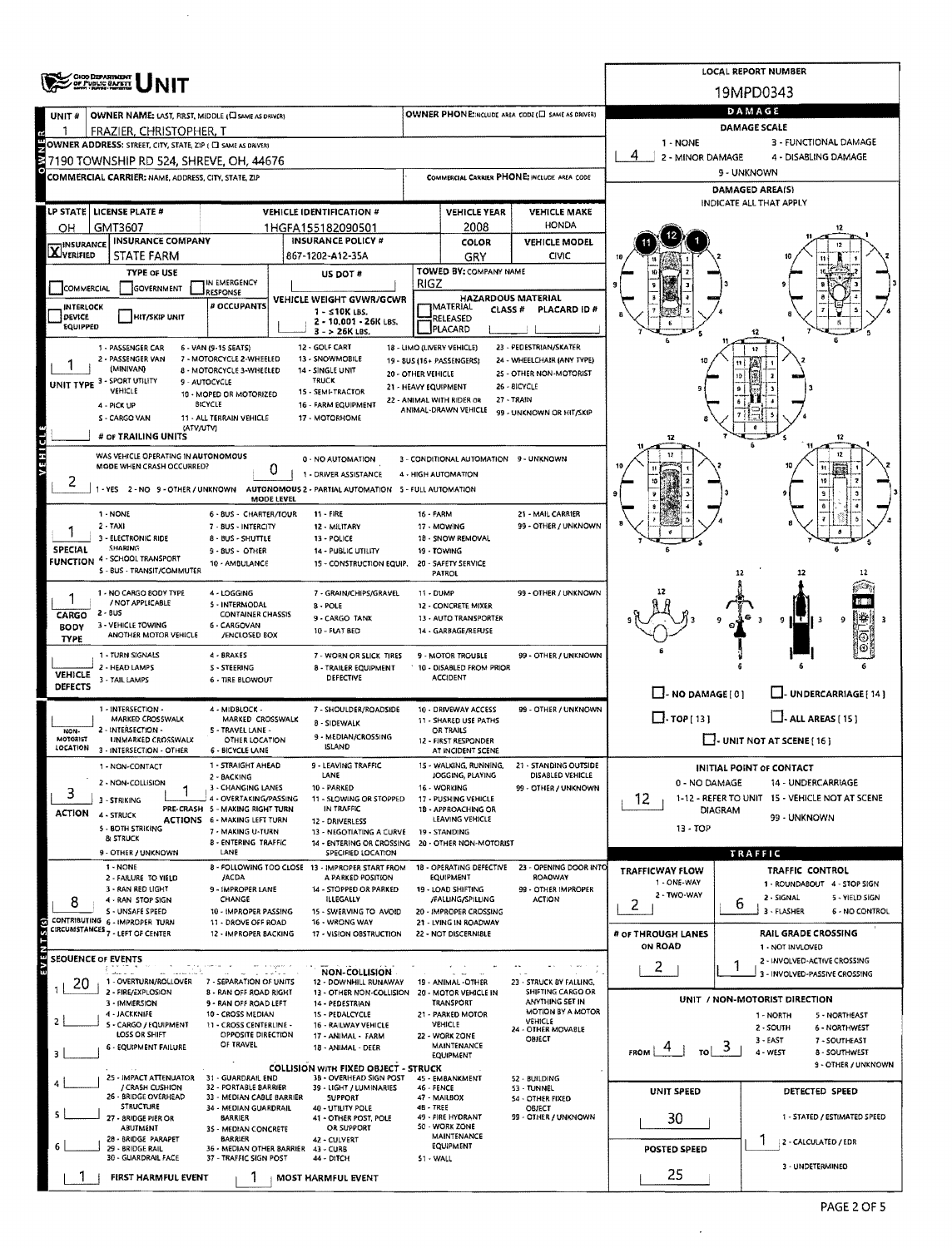| UNIT#                   |                                                                                                                                                                                                                                                                                                                                                                                                                                                                                                                                                                                                                                                                                                                                                                                                                                                                                                                                                                                                                                                                                                                                                                                                                                                                                                                                                                                                                                                                                                                                                                                                                                                                                                                                                                                                                                                                                                                                                                                                                                                                                                                                                                                                                                                                                                                                                                                                                                                                                                                                                                                                                                                                                                                                                                                                                                                                                                                                                                                                                                                                                                                                                                                                                                                                                                                                                                                                                                                                                                                                                                                                                                                                                                                                                                                                                                                                                                                                                                                                                                                                                                                                                                                                                                                                                                                                                                                                                                                                                                                                                                                                                                                                                                                                                                                                                                                                                                                                                                                                                                                                                                                                                                                                                                                                                                                                                                                                                                                                                                                                                                                                                                                                                                                                                                                                                                                                                                                                                                                                                                                                                                                                                                                                                                                                                                                                                                                                                                                                                                                                                                                                                                                                                                                                                                                                                                                                                                                                                                                                                                                                                                                                                                                                                                                                                                                                                                                                                                                                                                                                                                                                                                                                                                                                                                                                                                                                                                                                                                                                                                              |                        |                           |           |     |              |                     |  |                  |  |  |  |  |  |
|-------------------------|----------------------------------------------------------------------------------------------------------------------------------------------------------------------------------------------------------------------------------------------------------------------------------------------------------------------------------------------------------------------------------------------------------------------------------------------------------------------------------------------------------------------------------------------------------------------------------------------------------------------------------------------------------------------------------------------------------------------------------------------------------------------------------------------------------------------------------------------------------------------------------------------------------------------------------------------------------------------------------------------------------------------------------------------------------------------------------------------------------------------------------------------------------------------------------------------------------------------------------------------------------------------------------------------------------------------------------------------------------------------------------------------------------------------------------------------------------------------------------------------------------------------------------------------------------------------------------------------------------------------------------------------------------------------------------------------------------------------------------------------------------------------------------------------------------------------------------------------------------------------------------------------------------------------------------------------------------------------------------------------------------------------------------------------------------------------------------------------------------------------------------------------------------------------------------------------------------------------------------------------------------------------------------------------------------------------------------------------------------------------------------------------------------------------------------------------------------------------------------------------------------------------------------------------------------------------------------------------------------------------------------------------------------------------------------------------------------------------------------------------------------------------------------------------------------------------------------------------------------------------------------------------------------------------------------------------------------------------------------------------------------------------------------------------------------------------------------------------------------------------------------------------------------------------------------------------------------------------------------------------------------------------------------------------------------------------------------------------------------------------------------------------------------------------------------------------------------------------------------------------------------------------------------------------------------------------------------------------------------------------------------------------------------------------------------------------------------------------------------------------------------------------------------------------------------------------------------------------------------------------------------------------------------------------------------------------------------------------------------------------------------------------------------------------------------------------------------------------------------------------------------------------------------------------------------------------------------------------------------------------------------------------------------------------------------------------------------------------------------------------------------------------------------------------------------------------------------------------------------------------------------------------------------------------------------------------------------------------------------------------------------------------------------------------------------------------------------------------------------------------------------------------------------------------------------------------------------------------------------------------------------------------------------------------------------------------------------------------------------------------------------------------------------------------------------------------------------------------------------------------------------------------------------------------------------------------------------------------------------------------------------------------------------------------------------------------------------------------------------------------------------------------------------------------------------------------------------------------------------------------------------------------------------------------------------------------------------------------------------------------------------------------------------------------------------------------------------------------------------------------------------------------------------------------------------------------------------------------------------------------------------------------------------------------------------------------------------------------------------------------------------------------------------------------------------------------------------------------------------------------------------------------------------------------------------------------------------------------------------------------------------------------------------------------------------------------------------------------------------------------------------------------------------------------------------------------------------------------------------------------------------------------------------------------------------------------------------------------------------------------------------------------------------------------------------------------------------------------------------------------------------------------------------------------------------------------------------------------------------------------------------------------------------------------------------------------------------------------------------------------------------------------------------------------------------------------------------------------------------------------------------------------------------------------------------------------------------------------------------------------------------------------------------------------------------------------------------------------------------------------------------------------------------------------------------------------------------------------------------------------------------------------------------------------------------------------------------------------------------------------------------------------------------------------------------------------------------------------------------------------------------------------------------------------------------------------------------------------------------------------------------------------------------------------------------------------------------------------------------------------------------------------------------------------|------------------------|---------------------------|-----------|-----|--------------|---------------------|--|------------------|--|--|--|--|--|
|                         |                                                                                                                                                                                                                                                                                                                                                                                                                                                                                                                                                                                                                                                                                                                                                                                                                                                                                                                                                                                                                                                                                                                                                                                                                                                                                                                                                                                                                                                                                                                                                                                                                                                                                                                                                                                                                                                                                                                                                                                                                                                                                                                                                                                                                                                                                                                                                                                                                                                                                                                                                                                                                                                                                                                                                                                                                                                                                                                                                                                                                                                                                                                                                                                                                                                                                                                                                                                                                                                                                                                                                                                                                                                                                                                                                                                                                                                                                                                                                                                                                                                                                                                                                                                                                                                                                                                                                                                                                                                                                                                                                                                                                                                                                                                                                                                                                                                                                                                                                                                                                                                                                                                                                                                                                                                                                                                                                                                                                                                                                                                                                                                                                                                                                                                                                                                                                                                                                                                                                                                                                                                                                                                                                                                                                                                                                                                                                                                                                                                                                                                                                                                                                                                                                                                                                                                                                                                                                                                                                                                                                                                                                                                                                                                                                                                                                                                                                                                                                                                                                                                                                                                                                                                                                                                                                                                                                                                                                                                                                                                                                                              |                        |                           |           |     |              | DAMAGE SCALE        |  |                  |  |  |  |  |  |
|                         |                                                                                                                                                                                                                                                                                                                                                                                                                                                                                                                                                                                                                                                                                                                                                                                                                                                                                                                                                                                                                                                                                                                                                                                                                                                                                                                                                                                                                                                                                                                                                                                                                                                                                                                                                                                                                                                                                                                                                                                                                                                                                                                                                                                                                                                                                                                                                                                                                                                                                                                                                                                                                                                                                                                                                                                                                                                                                                                                                                                                                                                                                                                                                                                                                                                                                                                                                                                                                                                                                                                                                                                                                                                                                                                                                                                                                                                                                                                                                                                                                                                                                                                                                                                                                                                                                                                                                                                                                                                                                                                                                                                                                                                                                                                                                                                                                                                                                                                                                                                                                                                                                                                                                                                                                                                                                                                                                                                                                                                                                                                                                                                                                                                                                                                                                                                                                                                                                                                                                                                                                                                                                                                                                                                                                                                                                                                                                                                                                                                                                                                                                                                                                                                                                                                                                                                                                                                                                                                                                                                                                                                                                                                                                                                                                                                                                                                                                                                                                                                                                                                                                                                                                                                                                                                                                                                                                                                                                                                                                                                                                                              |                        |                           |           |     |              | 1 - NONE            |  |                  |  |  |  |  |  |
|                         |                                                                                                                                                                                                                                                                                                                                                                                                                                                                                                                                                                                                                                                                                                                                                                                                                                                                                                                                                                                                                                                                                                                                                                                                                                                                                                                                                                                                                                                                                                                                                                                                                                                                                                                                                                                                                                                                                                                                                                                                                                                                                                                                                                                                                                                                                                                                                                                                                                                                                                                                                                                                                                                                                                                                                                                                                                                                                                                                                                                                                                                                                                                                                                                                                                                                                                                                                                                                                                                                                                                                                                                                                                                                                                                                                                                                                                                                                                                                                                                                                                                                                                                                                                                                                                                                                                                                                                                                                                                                                                                                                                                                                                                                                                                                                                                                                                                                                                                                                                                                                                                                                                                                                                                                                                                                                                                                                                                                                                                                                                                                                                                                                                                                                                                                                                                                                                                                                                                                                                                                                                                                                                                                                                                                                                                                                                                                                                                                                                                                                                                                                                                                                                                                                                                                                                                                                                                                                                                                                                                                                                                                                                                                                                                                                                                                                                                                                                                                                                                                                                                                                                                                                                                                                                                                                                                                                                                                                                                                                                                                                                              |                        |                           |           |     |              |                     |  |                  |  |  |  |  |  |
|                         |                                                                                                                                                                                                                                                                                                                                                                                                                                                                                                                                                                                                                                                                                                                                                                                                                                                                                                                                                                                                                                                                                                                                                                                                                                                                                                                                                                                                                                                                                                                                                                                                                                                                                                                                                                                                                                                                                                                                                                                                                                                                                                                                                                                                                                                                                                                                                                                                                                                                                                                                                                                                                                                                                                                                                                                                                                                                                                                                                                                                                                                                                                                                                                                                                                                                                                                                                                                                                                                                                                                                                                                                                                                                                                                                                                                                                                                                                                                                                                                                                                                                                                                                                                                                                                                                                                                                                                                                                                                                                                                                                                                                                                                                                                                                                                                                                                                                                                                                                                                                                                                                                                                                                                                                                                                                                                                                                                                                                                                                                                                                                                                                                                                                                                                                                                                                                                                                                                                                                                                                                                                                                                                                                                                                                                                                                                                                                                                                                                                                                                                                                                                                                                                                                                                                                                                                                                                                                                                                                                                                                                                                                                                                                                                                                                                                                                                                                                                                                                                                                                                                                                                                                                                                                                                                                                                                                                                                                                                                                                                                                                              |                        |                           |           |     |              |                     |  |                  |  |  |  |  |  |
|                         |                                                                                                                                                                                                                                                                                                                                                                                                                                                                                                                                                                                                                                                                                                                                                                                                                                                                                                                                                                                                                                                                                                                                                                                                                                                                                                                                                                                                                                                                                                                                                                                                                                                                                                                                                                                                                                                                                                                                                                                                                                                                                                                                                                                                                                                                                                                                                                                                                                                                                                                                                                                                                                                                                                                                                                                                                                                                                                                                                                                                                                                                                                                                                                                                                                                                                                                                                                                                                                                                                                                                                                                                                                                                                                                                                                                                                                                                                                                                                                                                                                                                                                                                                                                                                                                                                                                                                                                                                                                                                                                                                                                                                                                                                                                                                                                                                                                                                                                                                                                                                                                                                                                                                                                                                                                                                                                                                                                                                                                                                                                                                                                                                                                                                                                                                                                                                                                                                                                                                                                                                                                                                                                                                                                                                                                                                                                                                                                                                                                                                                                                                                                                                                                                                                                                                                                                                                                                                                                                                                                                                                                                                                                                                                                                                                                                                                                                                                                                                                                                                                                                                                                                                                                                                                                                                                                                                                                                                                                                                                                                                                              |                        |                           |           |     |              |                     |  |                  |  |  |  |  |  |
| <b>LP STATE</b> I       |                                                                                                                                                                                                                                                                                                                                                                                                                                                                                                                                                                                                                                                                                                                                                                                                                                                                                                                                                                                                                                                                                                                                                                                                                                                                                                                                                                                                                                                                                                                                                                                                                                                                                                                                                                                                                                                                                                                                                                                                                                                                                                                                                                                                                                                                                                                                                                                                                                                                                                                                                                                                                                                                                                                                                                                                                                                                                                                                                                                                                                                                                                                                                                                                                                                                                                                                                                                                                                                                                                                                                                                                                                                                                                                                                                                                                                                                                                                                                                                                                                                                                                                                                                                                                                                                                                                                                                                                                                                                                                                                                                                                                                                                                                                                                                                                                                                                                                                                                                                                                                                                                                                                                                                                                                                                                                                                                                                                                                                                                                                                                                                                                                                                                                                                                                                                                                                                                                                                                                                                                                                                                                                                                                                                                                                                                                                                                                                                                                                                                                                                                                                                                                                                                                                                                                                                                                                                                                                                                                                                                                                                                                                                                                                                                                                                                                                                                                                                                                                                                                                                                                                                                                                                                                                                                                                                                                                                                                                                                                                                                                              |                        |                           |           |     |              |                     |  |                  |  |  |  |  |  |
| OH                      |                                                                                                                                                                                                                                                                                                                                                                                                                                                                                                                                                                                                                                                                                                                                                                                                                                                                                                                                                                                                                                                                                                                                                                                                                                                                                                                                                                                                                                                                                                                                                                                                                                                                                                                                                                                                                                                                                                                                                                                                                                                                                                                                                                                                                                                                                                                                                                                                                                                                                                                                                                                                                                                                                                                                                                                                                                                                                                                                                                                                                                                                                                                                                                                                                                                                                                                                                                                                                                                                                                                                                                                                                                                                                                                                                                                                                                                                                                                                                                                                                                                                                                                                                                                                                                                                                                                                                                                                                                                                                                                                                                                                                                                                                                                                                                                                                                                                                                                                                                                                                                                                                                                                                                                                                                                                                                                                                                                                                                                                                                                                                                                                                                                                                                                                                                                                                                                                                                                                                                                                                                                                                                                                                                                                                                                                                                                                                                                                                                                                                                                                                                                                                                                                                                                                                                                                                                                                                                                                                                                                                                                                                                                                                                                                                                                                                                                                                                                                                                                                                                                                                                                                                                                                                                                                                                                                                                                                                                                                                                                                                                              |                        |                           |           |     |              |                     |  |                  |  |  |  |  |  |
|                         | STATE FARM                                                                                                                                                                                                                                                                                                                                                                                                                                                                                                                                                                                                                                                                                                                                                                                                                                                                                                                                                                                                                                                                                                                                                                                                                                                                                                                                                                                                                                                                                                                                                                                                                                                                                                                                                                                                                                                                                                                                                                                                                                                                                                                                                                                                                                                                                                                                                                                                                                                                                                                                                                                                                                                                                                                                                                                                                                                                                                                                                                                                                                                                                                                                                                                                                                                                                                                                                                                                                                                                                                                                                                                                                                                                                                                                                                                                                                                                                                                                                                                                                                                                                                                                                                                                                                                                                                                                                                                                                                                                                                                                                                                                                                                                                                                                                                                                                                                                                                                                                                                                                                                                                                                                                                                                                                                                                                                                                                                                                                                                                                                                                                                                                                                                                                                                                                                                                                                                                                                                                                                                                                                                                                                                                                                                                                                                                                                                                                                                                                                                                                                                                                                                                                                                                                                                                                                                                                                                                                                                                                                                                                                                                                                                                                                                                                                                                                                                                                                                                                                                                                                                                                                                                                                                                                                                                                                                                                                                                                                                                                                                                                   |                        |                           |           | GRY | CIVIC        |                     |  |                  |  |  |  |  |  |
|                         | <b>TYPE OF USE</b>                                                                                                                                                                                                                                                                                                                                                                                                                                                                                                                                                                                                                                                                                                                                                                                                                                                                                                                                                                                                                                                                                                                                                                                                                                                                                                                                                                                                                                                                                                                                                                                                                                                                                                                                                                                                                                                                                                                                                                                                                                                                                                                                                                                                                                                                                                                                                                                                                                                                                                                                                                                                                                                                                                                                                                                                                                                                                                                                                                                                                                                                                                                                                                                                                                                                                                                                                                                                                                                                                                                                                                                                                                                                                                                                                                                                                                                                                                                                                                                                                                                                                                                                                                                                                                                                                                                                                                                                                                                                                                                                                                                                                                                                                                                                                                                                                                                                                                                                                                                                                                                                                                                                                                                                                                                                                                                                                                                                                                                                                                                                                                                                                                                                                                                                                                                                                                                                                                                                                                                                                                                                                                                                                                                                                                                                                                                                                                                                                                                                                                                                                                                                                                                                                                                                                                                                                                                                                                                                                                                                                                                                                                                                                                                                                                                                                                                                                                                                                                                                                                                                                                                                                                                                                                                                                                                                                                                                                                                                                                                                                           |                        | US DOT #                  |           |     |              |                     |  |                  |  |  |  |  |  |
| COMMERCIAL              | GOVERNMENT                                                                                                                                                                                                                                                                                                                                                                                                                                                                                                                                                                                                                                                                                                                                                                                                                                                                                                                                                                                                                                                                                                                                                                                                                                                                                                                                                                                                                                                                                                                                                                                                                                                                                                                                                                                                                                                                                                                                                                                                                                                                                                                                                                                                                                                                                                                                                                                                                                                                                                                                                                                                                                                                                                                                                                                                                                                                                                                                                                                                                                                                                                                                                                                                                                                                                                                                                                                                                                                                                                                                                                                                                                                                                                                                                                                                                                                                                                                                                                                                                                                                                                                                                                                                                                                                                                                                                                                                                                                                                                                                                                                                                                                                                                                                                                                                                                                                                                                                                                                                                                                                                                                                                                                                                                                                                                                                                                                                                                                                                                                                                                                                                                                                                                                                                                                                                                                                                                                                                                                                                                                                                                                                                                                                                                                                                                                                                                                                                                                                                                                                                                                                                                                                                                                                                                                                                                                                                                                                                                                                                                                                                                                                                                                                                                                                                                                                                                                                                                                                                                                                                                                                                                                                                                                                                                                                                                                                                                                                                                                                                                   | RESPONSE               |                           |           |     |              |                     |  |                  |  |  |  |  |  |
| INTERLOCK<br>DEVICE     |                                                                                                                                                                                                                                                                                                                                                                                                                                                                                                                                                                                                                                                                                                                                                                                                                                                                                                                                                                                                                                                                                                                                                                                                                                                                                                                                                                                                                                                                                                                                                                                                                                                                                                                                                                                                                                                                                                                                                                                                                                                                                                                                                                                                                                                                                                                                                                                                                                                                                                                                                                                                                                                                                                                                                                                                                                                                                                                                                                                                                                                                                                                                                                                                                                                                                                                                                                                                                                                                                                                                                                                                                                                                                                                                                                                                                                                                                                                                                                                                                                                                                                                                                                                                                                                                                                                                                                                                                                                                                                                                                                                                                                                                                                                                                                                                                                                                                                                                                                                                                                                                                                                                                                                                                                                                                                                                                                                                                                                                                                                                                                                                                                                                                                                                                                                                                                                                                                                                                                                                                                                                                                                                                                                                                                                                                                                                                                                                                                                                                                                                                                                                                                                                                                                                                                                                                                                                                                                                                                                                                                                                                                                                                                                                                                                                                                                                                                                                                                                                                                                                                                                                                                                                                                                                                                                                                                                                                                                                                                                                                                              | # OCCUPANTS            | $1 - 510K$ LBS.           |           |     | PLACARD ID # |                     |  |                  |  |  |  |  |  |
| EQUIPPED                |                                                                                                                                                                                                                                                                                                                                                                                                                                                                                                                                                                                                                                                                                                                                                                                                                                                                                                                                                                                                                                                                                                                                                                                                                                                                                                                                                                                                                                                                                                                                                                                                                                                                                                                                                                                                                                                                                                                                                                                                                                                                                                                                                                                                                                                                                                                                                                                                                                                                                                                                                                                                                                                                                                                                                                                                                                                                                                                                                                                                                                                                                                                                                                                                                                                                                                                                                                                                                                                                                                                                                                                                                                                                                                                                                                                                                                                                                                                                                                                                                                                                                                                                                                                                                                                                                                                                                                                                                                                                                                                                                                                                                                                                                                                                                                                                                                                                                                                                                                                                                                                                                                                                                                                                                                                                                                                                                                                                                                                                                                                                                                                                                                                                                                                                                                                                                                                                                                                                                                                                                                                                                                                                                                                                                                                                                                                                                                                                                                                                                                                                                                                                                                                                                                                                                                                                                                                                                                                                                                                                                                                                                                                                                                                                                                                                                                                                                                                                                                                                                                                                                                                                                                                                                                                                                                                                                                                                                                                                                                                                                                              |                        | $3 - 26K$ LBS.            |           |     |              |                     |  |                  |  |  |  |  |  |
|                         | 1 - PASSENGER CAR                                                                                                                                                                                                                                                                                                                                                                                                                                                                                                                                                                                                                                                                                                                                                                                                                                                                                                                                                                                                                                                                                                                                                                                                                                                                                                                                                                                                                                                                                                                                                                                                                                                                                                                                                                                                                                                                                                                                                                                                                                                                                                                                                                                                                                                                                                                                                                                                                                                                                                                                                                                                                                                                                                                                                                                                                                                                                                                                                                                                                                                                                                                                                                                                                                                                                                                                                                                                                                                                                                                                                                                                                                                                                                                                                                                                                                                                                                                                                                                                                                                                                                                                                                                                                                                                                                                                                                                                                                                                                                                                                                                                                                                                                                                                                                                                                                                                                                                                                                                                                                                                                                                                                                                                                                                                                                                                                                                                                                                                                                                                                                                                                                                                                                                                                                                                                                                                                                                                                                                                                                                                                                                                                                                                                                                                                                                                                                                                                                                                                                                                                                                                                                                                                                                                                                                                                                                                                                                                                                                                                                                                                                                                                                                                                                                                                                                                                                                                                                                                                                                                                                                                                                                                                                                                                                                                                                                                                                                                                                                                                            |                        |                           |           |     |              |                     |  |                  |  |  |  |  |  |
|                         | 2 - PASSENGER VAN                                                                                                                                                                                                                                                                                                                                                                                                                                                                                                                                                                                                                                                                                                                                                                                                                                                                                                                                                                                                                                                                                                                                                                                                                                                                                                                                                                                                                                                                                                                                                                                                                                                                                                                                                                                                                                                                                                                                                                                                                                                                                                                                                                                                                                                                                                                                                                                                                                                                                                                                                                                                                                                                                                                                                                                                                                                                                                                                                                                                                                                                                                                                                                                                                                                                                                                                                                                                                                                                                                                                                                                                                                                                                                                                                                                                                                                                                                                                                                                                                                                                                                                                                                                                                                                                                                                                                                                                                                                                                                                                                                                                                                                                                                                                                                                                                                                                                                                                                                                                                                                                                                                                                                                                                                                                                                                                                                                                                                                                                                                                                                                                                                                                                                                                                                                                                                                                                                                                                                                                                                                                                                                                                                                                                                                                                                                                                                                                                                                                                                                                                                                                                                                                                                                                                                                                                                                                                                                                                                                                                                                                                                                                                                                                                                                                                                                                                                                                                                                                                                                                                                                                                                                                                                                                                                                                                                                                                                                                                                                                                            |                        |                           |           |     |              |                     |  |                  |  |  |  |  |  |
|                         |                                                                                                                                                                                                                                                                                                                                                                                                                                                                                                                                                                                                                                                                                                                                                                                                                                                                                                                                                                                                                                                                                                                                                                                                                                                                                                                                                                                                                                                                                                                                                                                                                                                                                                                                                                                                                                                                                                                                                                                                                                                                                                                                                                                                                                                                                                                                                                                                                                                                                                                                                                                                                                                                                                                                                                                                                                                                                                                                                                                                                                                                                                                                                                                                                                                                                                                                                                                                                                                                                                                                                                                                                                                                                                                                                                                                                                                                                                                                                                                                                                                                                                                                                                                                                                                                                                                                                                                                                                                                                                                                                                                                                                                                                                                                                                                                                                                                                                                                                                                                                                                                                                                                                                                                                                                                                                                                                                                                                                                                                                                                                                                                                                                                                                                                                                                                                                                                                                                                                                                                                                                                                                                                                                                                                                                                                                                                                                                                                                                                                                                                                                                                                                                                                                                                                                                                                                                                                                                                                                                                                                                                                                                                                                                                                                                                                                                                                                                                                                                                                                                                                                                                                                                                                                                                                                                                                                                                                                                                                                                                                                              |                        | <b>TRUCK</b>              |           |     |              |                     |  |                  |  |  |  |  |  |
|                         |                                                                                                                                                                                                                                                                                                                                                                                                                                                                                                                                                                                                                                                                                                                                                                                                                                                                                                                                                                                                                                                                                                                                                                                                                                                                                                                                                                                                                                                                                                                                                                                                                                                                                                                                                                                                                                                                                                                                                                                                                                                                                                                                                                                                                                                                                                                                                                                                                                                                                                                                                                                                                                                                                                                                                                                                                                                                                                                                                                                                                                                                                                                                                                                                                                                                                                                                                                                                                                                                                                                                                                                                                                                                                                                                                                                                                                                                                                                                                                                                                                                                                                                                                                                                                                                                                                                                                                                                                                                                                                                                                                                                                                                                                                                                                                                                                                                                                                                                                                                                                                                                                                                                                                                                                                                                                                                                                                                                                                                                                                                                                                                                                                                                                                                                                                                                                                                                                                                                                                                                                                                                                                                                                                                                                                                                                                                                                                                                                                                                                                                                                                                                                                                                                                                                                                                                                                                                                                                                                                                                                                                                                                                                                                                                                                                                                                                                                                                                                                                                                                                                                                                                                                                                                                                                                                                                                                                                                                                                                                                                                                              |                        |                           |           |     |              |                     |  |                  |  |  |  |  |  |
|                         | LOCAL REPORT NUMBER<br><b>CHOO DEPARTMENT</b><br>of Public Bafett<br>19MPD0343<br>DAMAGE<br>OWNER PHONE:INCLUDE AREA CODE (E SAME AS DRIVER)<br>OWNER NAME: LAST, FIRST, MIDDLE (C) SAME AS DRIVER)<br>FRAZIER, CHRISTOPHER, T<br>3 - FUNCTIONAL DAMAGE<br>OWNER ADDRESS: STREET, CITY, STATE, ZIP ( C) SAME AS DRIVER)<br>4<br>2 - MINOR DAMAGE<br>4 - DISABLING DAMAGE<br>7190 TOWNSHIP RD 524, SHREVE, OH, 44676<br>9 - UNKNOWN<br>COMMERCIAL CARRIER PHONE: INCLUDE AREA CODE<br>COMMERCIAL CARRIER: NAME, ADDRESS, CITY, STATE, ZIP<br>DAMAGED AREA(S)<br>INDICATE ALL THAT APPLY<br>LICENSE PLATE #<br><b>VEHICLE IDENTIFICATION #</b><br><b>VEHICLE YEAR</b><br><b>VEHICLE MAKE</b><br><b>HONDA</b><br>2008<br>GMT3607<br>1HGFA155182090501<br><b>INSURANCE COMPANY</b><br><b>INSURANCE POLICY #</b><br>COLOR<br><b>VEHICLE MODEL</b><br><b>X</b> INSURANCE<br>867-1202-A12-35A<br>TOWED BY: COMPANY NAME<br>IN EMERGENCY<br>RIGZ<br><b>HAZARDOUS MATERIAL</b><br>VEHICLE WEIGHT GVWR/GCWR<br><b>IMATERIAL</b><br>CLASS #<br><b>HIT/SKIP UNIT</b><br>RELEASED<br>2 - 10,001 - 26K LBS.<br>PLACARD<br>23 - PEDESTRIAN/SKATER<br>12 - GOLF CART<br>18 - LIMO (LIVERY VEHICLE)<br>6 - VAN (9-15 SEATS)<br>7 - MOTORCYCLE 2-WHEELED<br>13 - SNOWMOBILE<br>24 - WHEELCHAIR (ANY TYPE)<br>19 - BUS (16+ PASSENGERS)<br>(MINIVAN)<br>8 - MOTORCYCLE 3-WHEELED<br>14 - SINGLE UNIT<br>25 - OTHER NON-MOTORIST<br>20 - OTHER VEHICLE<br>UNIT TYPE 3 - SPORT UTILITY<br>9 - AUTOCYCLE<br>26 - BICYCLE<br>21 - HEAVY EQUIPMENT<br>VEHICLE<br>15 - SEMI-TRACTOR<br>10 - MOPED OR MOTORIZED<br>22 - ANIMAL WITH RIDER OR<br><b>27 - TRAIN</b><br><b>BICYCLE</b><br>16 - FARM EQUIPMENT<br>4 - PICK UP<br>ANIMAL-DRAWN VEHICLE<br>99 - UNKNOWN OR HIT/SKIP<br>S - CARGO VAN<br>11 - ALL TERRAIN VEHICLE<br>17 - MOTORHOME<br>(ATV/UTV)<br># OF TRAILING UNITS<br>12<br>12<br>12<br>WAS VEHICLE OPERATING IN AUTONOMOUS<br>3 - CONDITIONAL AUTOMATION 9 - UNKNOWN<br>0 - NO AUTOMATION<br>MODE WHEN CRASH OCCURRED?<br>0<br>u<br>1 - DRIVER ASSISTANCE<br>4 - HIGH AUTOMATION<br>١Ū<br>AUTONOMOUS 2 - PARTIAL AUTOMATION 5 - FULL AUTOMATION<br>1 - YES 2 - NO 9 - OTHER / UNKNOWN<br><b>MODE LEVEL</b><br>$11 - FIRE$<br>21 - MAIL CARRIER<br>1 - NONE<br>6 - BUS - CHARTER/TOUR<br>16 - FARM<br>99 - OTHER / UNKNOWN<br>2 - TAXI<br>7 - BUS - INTERCITY<br>17 - MOWING<br>12 - MILITARY<br>3 - ELECTRONIC RIDE<br>18 - SNOW REMOVAL<br>8 - BUS - SHUTTLE<br>13 - POLICE<br><b>SHARING</b><br>9 - BUS - OTHER<br>19 - TOWING<br>14 - PUBLIC UTILITY<br>FUNCTION 4 - SCHOOL TRANSPORT<br>10 - AMBULANCE<br>15 - CONSTRUCTION EQUIP.<br>20 - SAFETY SERVICE<br>5 - BUS - TRANSIT/COMMUTER<br>PATROL<br>12<br>12<br>12<br>1 - NO CARGO BODY TYPE<br>4 - LOGGING<br>99 - OTHER / UNKNOWN<br>7 - GRAIN/CHIPS/GRAVEL<br>11 - DUMP<br>/ NOT APPLICABLE<br>5 - INTERMODAL<br>8 - POLE<br>12 - CONCRETE MIXER<br>$2 - BUS$<br><b>CONTAINER CHASSIS</b><br>⊪<br>9 - CARGO TANK<br>13 - AUTO TRANSPORTER<br>9 ILT<br>9<br>3 - VEHICLE TOWING<br>6 - CARGOVAN<br>10 - FLAT BED<br>14 - GARBAGE/REFUSE<br>ANOTHER MOTOR VEHICLE<br>/ENCLOSED BOX<br>⊕<br>1 - TURN SIGNALS<br>4 - BRAKES<br>7 - WORN OR SLICK TIRES<br>9 - MOTOR TROUBLE<br>99 - OTHER / UNKNOWN<br>2 - HEAD LAMPS<br>10 - DISABLED FROM PRIOR<br><b>S-STEERING</b><br>8 - TRAILER EQUIPMENT<br><b>ACCIDENT</b><br>DEFECTIVE<br>3 - TAIL LAMPS<br>6 - TIRE BLOWOUT<br>$\Box$ - NO DAMAGE [0]<br>UNDERCARRIAGE [ 14 ]<br>1 - INTERSECTION -<br>4 - MIDBLOCK -<br>7 - SHOULDER/ROADSIDE<br>10 - DRIVEWAY ACCESS<br>99 - OTHER / UNKNOWN<br>$\Box$ TOP [13]<br>$\Box$ - ALL AREAS [ 15 ]<br><b>MARKED CROSSWALK</b><br>MARKED CROSSWALK<br>11 - SHARED USE PATHS<br><b>8 - SIDEWALK</b><br>2 - INTERSECTION -<br>5 - TRAVEL LANE -<br>OR TRAILS<br>9 - MEDIAN/CROSSING<br>$\Box$ UNIT NOT AT SCENE [16]<br>UNMARKED CROSSWALK<br>OTHER LOCATION<br>12 - FIRST RESPONDER<br><b>ISLAND</b><br>3 - INTERSECTION - OTHER<br><b>6 - BICYCLE LANE</b><br>AT INCIDENT SCENE<br>1 - NON-CONTACT<br>1 - STRAIGHT AHEAD<br>9 - LEAVING TRAFFIC<br>WALKING, RUNNING,<br>21 - STANDING OUTSIDE<br><b>INITIAL POINT OF CONTACT</b><br>LANE<br>JOGGING, PLAYING<br>DISABLED VEHICLE<br>2 - BACKING<br>2 - NON-COLLISION<br>0 - NO DAMAGE<br>14 - UNDERCARRIAGE<br>3 - CHANGING LANES<br>10 - PARKED<br>16 - WORKING<br>99 - OTHER / UNKNOWN<br>1-12 - REFER TO UNIT 15 - VEHICLE NOT AT SCENE<br>4 - OVERTAKING/PASSING<br>12.<br>11 - SLOWING OR STOPPED<br>17 - PUSHING VEHICLE<br>3 - STRIKING<br>PRE-CRASH 5 - MAKING RIGHT TURN<br>IN TRAFFIC<br>18 - APPROACHING OR<br><b>DIAGRAM</b><br>ACTION 4- STRUCK<br>99 - UNKNOWN<br>LEAVING VEHICLE<br><b>ACTIONS 6 - MAKING LEFT TURN</b><br>12 - DRIVERLESS<br>5 - BOTH STRIKING<br>13 - TOP<br>7 - MAKING U-TURN<br>13 - NEGOTIATING A CURVE<br>19 - STANDING<br>& STRUCK<br><b>B - ENTERING TRAFFIC</b><br>14 - ENTERING OR CROSSING 20 - OTHER NON-MOTORIST<br>9 - OTHER / UNKNOWN<br>LANE<br>SPECIFIED LOCATION<br>TRAFFIC<br>1 - NONE<br>8 - FOLLOWING TOO CLOSE 13 - IMPROPER START FROM<br>18 - OPERATING DEFECTIVE 23 - OPENING DOOR INTO<br><b>TRAFFICWAY FLOW</b><br><b>TRAFFIC CONTROL</b><br>/ACDA<br>EQUIPMENT<br>ROAOWAY<br>A PARKED POSITION<br>2 - FAILURE TO YIELD<br>1 - ONE-WAY<br>1 - ROUNDABOUT 4 - STOP SIGN<br>3 - RAN RED LIGHT<br>9 - IMPROPER LANE<br>14 - STOPPED OR PARKED<br>19 - LOAD SHIFTING<br>99 - OTHER IMPROPER<br>2 - TWO-WAY<br>2 - SIGNAL<br>5 - YIELD SIGN<br><b>ACTION</b><br>CHANGE<br>ILLEGALLY<br><b>/FALLING/SPILLING</b><br>4 - RAN STOP SIGN<br>6<br>2<br>3 - FLASHER<br>5 - UNSAFE SPEED<br>6 - NO CONTROL<br>10 - IMPROPER PASSING<br>15 - SWERVING TO AVOID<br>20 - IMPROPER CROSSING<br>CONTRIBUTING 6 - IMPROPER TURN<br>16 - WRONG WAY<br>11 - DROVE OFF ROAD<br>21 - LYING IN ROADWAY<br>CIRCUMSTANCES <sub>7</sub> - LEFT OF CENTER<br># OF THROUGH LANES<br><b>RAIL GRADE CROSSING</b><br>12 - IMPROPER BACKING<br>17 - VISION OBSTRUCTION<br>22 - NOT DISCERNIBLE<br>ON ROAD<br>1 - NOT INVLOVED<br><b>SEQUENCE OF EVENTS</b><br>2 - INVOLVED-ACTIVE CROSSING<br>$\mathbf{2}$<br>بالمحمدة<br>NON-COLLISION<br>3 - INVOLVED-PASSIVE CROSSING<br>1 - OVERTURN/ROLLOVER<br>7 - SEPARATION OF UNITS<br>12 - DOWNHILL RUNAWAY<br>19 - ANIMAL - OTHER<br>23 - STRUCK BY FALLING,<br>2 - FIRE/EXPLOSION<br>SHIFTING CARGO OR<br>8 - RAN OFF ROAD RIGHT<br>13 - OTHER NON-COLLISION<br>20 - MOTOR VEHICLE IN<br>UNIT / NON-MOTORIST DIRECTION<br>ANYTHING SET IN<br>3 - IMMERSION<br><b>TRANSPORT</b><br>9 - RAN OFF ROAD LEFT<br>14 - PEDESTRIAN<br>MOTION BY A MOTOR<br>4 - JACKKNIFE<br>21 - PARKED MOTOR<br>10 - CROSS MEDIAN<br>15 - PEDALCYCLE<br>1 - NORTH<br>5 - NORTHEAST<br>VEHICLE<br>5 - CARGO / EQUIPMENT<br>VEHICLE<br>11 - CROSS CENTERLINE -<br>16 - RAILWAY VEHICLE<br>2 - SOUTH<br>6 - NORTHWEST<br>24 - OTHER MOVABLE<br>LOSS OR SHIFT<br>OPPOSITE DIRECTION<br>22 - WORK ZONE<br>17 - ANIMAL - FARM<br>OBJECT<br>$3 - EAST$<br>7 - SOUTHEAST<br>OF TRAVEL<br>MAINTENANCE<br>6 - EQUIPMENT FAILURE<br>3<br>18 - ANIMAL - DEER<br><b>FROM</b><br>τoΙ<br>4 - WEST<br>8 - SOUTHWEST<br>EQUIPMENT<br>9 - OTHER / UNKNOWN<br><b>COLLISION WITH FIXED OBJECT - STRUCK</b><br>25 - IMPACT ATTENUATOR<br>3B - OVERHEAD SIGN POST<br>31 - GUARDRAIL END<br>45 - EMBANKMENT<br>52 - BUILDING<br>/ CRASH CUSHION<br>32 - PORTABLE BARRIER<br>39 - LIGHT / LUMINARIES<br>46 - FENCE<br>53 - TUNNEL<br>DETECTED SPEED<br>UNIT SPEED<br>26 - BRIDGE OVERHEAD<br>33 - MEDIAN CABLE BARRIER<br><b>SUPPORT</b><br>47 - MAILBOX<br>54 - OTHER FIXED<br><b>STRUCTURE</b><br><b>48 - TREE</b><br>34 - MEDIAN GUARDRAIL<br>40 - UTILITY POLE<br>OBJECT<br>49 - FIRE HYDRANT<br>99 - OTHER / UNKNOWN<br>1 - STATED / ESTIMATED SPEED<br>30<br>27 - SRIDGE PIER OR<br>BARRIER<br>41 - OTHER POST, POLE<br>50 - WORK ZONE<br>OR SUPPORT<br>ABUTMENT<br>35 - MEDIAN CONCRETE<br>MAINTENANCE<br>2B - BRIDGE PARAPET<br><b>BARRIER</b><br>42 - CULVERT<br>2 - CALCULATED / EDR<br>EQUIPMENT<br>36 - MEDIAN OTHER BARRIER |                        |                           |           |     |              |                     |  |                  |  |  |  |  |  |
|                         |                                                                                                                                                                                                                                                                                                                                                                                                                                                                                                                                                                                                                                                                                                                                                                                                                                                                                                                                                                                                                                                                                                                                                                                                                                                                                                                                                                                                                                                                                                                                                                                                                                                                                                                                                                                                                                                                                                                                                                                                                                                                                                                                                                                                                                                                                                                                                                                                                                                                                                                                                                                                                                                                                                                                                                                                                                                                                                                                                                                                                                                                                                                                                                                                                                                                                                                                                                                                                                                                                                                                                                                                                                                                                                                                                                                                                                                                                                                                                                                                                                                                                                                                                                                                                                                                                                                                                                                                                                                                                                                                                                                                                                                                                                                                                                                                                                                                                                                                                                                                                                                                                                                                                                                                                                                                                                                                                                                                                                                                                                                                                                                                                                                                                                                                                                                                                                                                                                                                                                                                                                                                                                                                                                                                                                                                                                                                                                                                                                                                                                                                                                                                                                                                                                                                                                                                                                                                                                                                                                                                                                                                                                                                                                                                                                                                                                                                                                                                                                                                                                                                                                                                                                                                                                                                                                                                                                                                                                                                                                                                                                              |                        |                           |           |     |              |                     |  |                  |  |  |  |  |  |
|                         |                                                                                                                                                                                                                                                                                                                                                                                                                                                                                                                                                                                                                                                                                                                                                                                                                                                                                                                                                                                                                                                                                                                                                                                                                                                                                                                                                                                                                                                                                                                                                                                                                                                                                                                                                                                                                                                                                                                                                                                                                                                                                                                                                                                                                                                                                                                                                                                                                                                                                                                                                                                                                                                                                                                                                                                                                                                                                                                                                                                                                                                                                                                                                                                                                                                                                                                                                                                                                                                                                                                                                                                                                                                                                                                                                                                                                                                                                                                                                                                                                                                                                                                                                                                                                                                                                                                                                                                                                                                                                                                                                                                                                                                                                                                                                                                                                                                                                                                                                                                                                                                                                                                                                                                                                                                                                                                                                                                                                                                                                                                                                                                                                                                                                                                                                                                                                                                                                                                                                                                                                                                                                                                                                                                                                                                                                                                                                                                                                                                                                                                                                                                                                                                                                                                                                                                                                                                                                                                                                                                                                                                                                                                                                                                                                                                                                                                                                                                                                                                                                                                                                                                                                                                                                                                                                                                                                                                                                                                                                                                                                                              |                        |                           |           |     |              |                     |  |                  |  |  |  |  |  |
|                         |                                                                                                                                                                                                                                                                                                                                                                                                                                                                                                                                                                                                                                                                                                                                                                                                                                                                                                                                                                                                                                                                                                                                                                                                                                                                                                                                                                                                                                                                                                                                                                                                                                                                                                                                                                                                                                                                                                                                                                                                                                                                                                                                                                                                                                                                                                                                                                                                                                                                                                                                                                                                                                                                                                                                                                                                                                                                                                                                                                                                                                                                                                                                                                                                                                                                                                                                                                                                                                                                                                                                                                                                                                                                                                                                                                                                                                                                                                                                                                                                                                                                                                                                                                                                                                                                                                                                                                                                                                                                                                                                                                                                                                                                                                                                                                                                                                                                                                                                                                                                                                                                                                                                                                                                                                                                                                                                                                                                                                                                                                                                                                                                                                                                                                                                                                                                                                                                                                                                                                                                                                                                                                                                                                                                                                                                                                                                                                                                                                                                                                                                                                                                                                                                                                                                                                                                                                                                                                                                                                                                                                                                                                                                                                                                                                                                                                                                                                                                                                                                                                                                                                                                                                                                                                                                                                                                                                                                                                                                                                                                                                              |                        |                           |           |     |              |                     |  |                  |  |  |  |  |  |
| 2                       |                                                                                                                                                                                                                                                                                                                                                                                                                                                                                                                                                                                                                                                                                                                                                                                                                                                                                                                                                                                                                                                                                                                                                                                                                                                                                                                                                                                                                                                                                                                                                                                                                                                                                                                                                                                                                                                                                                                                                                                                                                                                                                                                                                                                                                                                                                                                                                                                                                                                                                                                                                                                                                                                                                                                                                                                                                                                                                                                                                                                                                                                                                                                                                                                                                                                                                                                                                                                                                                                                                                                                                                                                                                                                                                                                                                                                                                                                                                                                                                                                                                                                                                                                                                                                                                                                                                                                                                                                                                                                                                                                                                                                                                                                                                                                                                                                                                                                                                                                                                                                                                                                                                                                                                                                                                                                                                                                                                                                                                                                                                                                                                                                                                                                                                                                                                                                                                                                                                                                                                                                                                                                                                                                                                                                                                                                                                                                                                                                                                                                                                                                                                                                                                                                                                                                                                                                                                                                                                                                                                                                                                                                                                                                                                                                                                                                                                                                                                                                                                                                                                                                                                                                                                                                                                                                                                                                                                                                                                                                                                                                                              |                        |                           |           |     |              |                     |  |                  |  |  |  |  |  |
|                         |                                                                                                                                                                                                                                                                                                                                                                                                                                                                                                                                                                                                                                                                                                                                                                                                                                                                                                                                                                                                                                                                                                                                                                                                                                                                                                                                                                                                                                                                                                                                                                                                                                                                                                                                                                                                                                                                                                                                                                                                                                                                                                                                                                                                                                                                                                                                                                                                                                                                                                                                                                                                                                                                                                                                                                                                                                                                                                                                                                                                                                                                                                                                                                                                                                                                                                                                                                                                                                                                                                                                                                                                                                                                                                                                                                                                                                                                                                                                                                                                                                                                                                                                                                                                                                                                                                                                                                                                                                                                                                                                                                                                                                                                                                                                                                                                                                                                                                                                                                                                                                                                                                                                                                                                                                                                                                                                                                                                                                                                                                                                                                                                                                                                                                                                                                                                                                                                                                                                                                                                                                                                                                                                                                                                                                                                                                                                                                                                                                                                                                                                                                                                                                                                                                                                                                                                                                                                                                                                                                                                                                                                                                                                                                                                                                                                                                                                                                                                                                                                                                                                                                                                                                                                                                                                                                                                                                                                                                                                                                                                                                              |                        |                           |           |     |              |                     |  |                  |  |  |  |  |  |
|                         |                                                                                                                                                                                                                                                                                                                                                                                                                                                                                                                                                                                                                                                                                                                                                                                                                                                                                                                                                                                                                                                                                                                                                                                                                                                                                                                                                                                                                                                                                                                                                                                                                                                                                                                                                                                                                                                                                                                                                                                                                                                                                                                                                                                                                                                                                                                                                                                                                                                                                                                                                                                                                                                                                                                                                                                                                                                                                                                                                                                                                                                                                                                                                                                                                                                                                                                                                                                                                                                                                                                                                                                                                                                                                                                                                                                                                                                                                                                                                                                                                                                                                                                                                                                                                                                                                                                                                                                                                                                                                                                                                                                                                                                                                                                                                                                                                                                                                                                                                                                                                                                                                                                                                                                                                                                                                                                                                                                                                                                                                                                                                                                                                                                                                                                                                                                                                                                                                                                                                                                                                                                                                                                                                                                                                                                                                                                                                                                                                                                                                                                                                                                                                                                                                                                                                                                                                                                                                                                                                                                                                                                                                                                                                                                                                                                                                                                                                                                                                                                                                                                                                                                                                                                                                                                                                                                                                                                                                                                                                                                                                                              |                        |                           |           |     |              |                     |  |                  |  |  |  |  |  |
|                         |                                                                                                                                                                                                                                                                                                                                                                                                                                                                                                                                                                                                                                                                                                                                                                                                                                                                                                                                                                                                                                                                                                                                                                                                                                                                                                                                                                                                                                                                                                                                                                                                                                                                                                                                                                                                                                                                                                                                                                                                                                                                                                                                                                                                                                                                                                                                                                                                                                                                                                                                                                                                                                                                                                                                                                                                                                                                                                                                                                                                                                                                                                                                                                                                                                                                                                                                                                                                                                                                                                                                                                                                                                                                                                                                                                                                                                                                                                                                                                                                                                                                                                                                                                                                                                                                                                                                                                                                                                                                                                                                                                                                                                                                                                                                                                                                                                                                                                                                                                                                                                                                                                                                                                                                                                                                                                                                                                                                                                                                                                                                                                                                                                                                                                                                                                                                                                                                                                                                                                                                                                                                                                                                                                                                                                                                                                                                                                                                                                                                                                                                                                                                                                                                                                                                                                                                                                                                                                                                                                                                                                                                                                                                                                                                                                                                                                                                                                                                                                                                                                                                                                                                                                                                                                                                                                                                                                                                                                                                                                                                                                              |                        |                           |           |     |              |                     |  |                  |  |  |  |  |  |
| <b>SPECIAL</b>          |                                                                                                                                                                                                                                                                                                                                                                                                                                                                                                                                                                                                                                                                                                                                                                                                                                                                                                                                                                                                                                                                                                                                                                                                                                                                                                                                                                                                                                                                                                                                                                                                                                                                                                                                                                                                                                                                                                                                                                                                                                                                                                                                                                                                                                                                                                                                                                                                                                                                                                                                                                                                                                                                                                                                                                                                                                                                                                                                                                                                                                                                                                                                                                                                                                                                                                                                                                                                                                                                                                                                                                                                                                                                                                                                                                                                                                                                                                                                                                                                                                                                                                                                                                                                                                                                                                                                                                                                                                                                                                                                                                                                                                                                                                                                                                                                                                                                                                                                                                                                                                                                                                                                                                                                                                                                                                                                                                                                                                                                                                                                                                                                                                                                                                                                                                                                                                                                                                                                                                                                                                                                                                                                                                                                                                                                                                                                                                                                                                                                                                                                                                                                                                                                                                                                                                                                                                                                                                                                                                                                                                                                                                                                                                                                                                                                                                                                                                                                                                                                                                                                                                                                                                                                                                                                                                                                                                                                                                                                                                                                                                              |                        |                           |           |     |              |                     |  |                  |  |  |  |  |  |
|                         |                                                                                                                                                                                                                                                                                                                                                                                                                                                                                                                                                                                                                                                                                                                                                                                                                                                                                                                                                                                                                                                                                                                                                                                                                                                                                                                                                                                                                                                                                                                                                                                                                                                                                                                                                                                                                                                                                                                                                                                                                                                                                                                                                                                                                                                                                                                                                                                                                                                                                                                                                                                                                                                                                                                                                                                                                                                                                                                                                                                                                                                                                                                                                                                                                                                                                                                                                                                                                                                                                                                                                                                                                                                                                                                                                                                                                                                                                                                                                                                                                                                                                                                                                                                                                                                                                                                                                                                                                                                                                                                                                                                                                                                                                                                                                                                                                                                                                                                                                                                                                                                                                                                                                                                                                                                                                                                                                                                                                                                                                                                                                                                                                                                                                                                                                                                                                                                                                                                                                                                                                                                                                                                                                                                                                                                                                                                                                                                                                                                                                                                                                                                                                                                                                                                                                                                                                                                                                                                                                                                                                                                                                                                                                                                                                                                                                                                                                                                                                                                                                                                                                                                                                                                                                                                                                                                                                                                                                                                                                                                                                                              |                        |                           |           |     |              |                     |  |                  |  |  |  |  |  |
|                         |                                                                                                                                                                                                                                                                                                                                                                                                                                                                                                                                                                                                                                                                                                                                                                                                                                                                                                                                                                                                                                                                                                                                                                                                                                                                                                                                                                                                                                                                                                                                                                                                                                                                                                                                                                                                                                                                                                                                                                                                                                                                                                                                                                                                                                                                                                                                                                                                                                                                                                                                                                                                                                                                                                                                                                                                                                                                                                                                                                                                                                                                                                                                                                                                                                                                                                                                                                                                                                                                                                                                                                                                                                                                                                                                                                                                                                                                                                                                                                                                                                                                                                                                                                                                                                                                                                                                                                                                                                                                                                                                                                                                                                                                                                                                                                                                                                                                                                                                                                                                                                                                                                                                                                                                                                                                                                                                                                                                                                                                                                                                                                                                                                                                                                                                                                                                                                                                                                                                                                                                                                                                                                                                                                                                                                                                                                                                                                                                                                                                                                                                                                                                                                                                                                                                                                                                                                                                                                                                                                                                                                                                                                                                                                                                                                                                                                                                                                                                                                                                                                                                                                                                                                                                                                                                                                                                                                                                                                                                                                                                                                              |                        |                           |           |     |              |                     |  |                  |  |  |  |  |  |
| CARGO                   |                                                                                                                                                                                                                                                                                                                                                                                                                                                                                                                                                                                                                                                                                                                                                                                                                                                                                                                                                                                                                                                                                                                                                                                                                                                                                                                                                                                                                                                                                                                                                                                                                                                                                                                                                                                                                                                                                                                                                                                                                                                                                                                                                                                                                                                                                                                                                                                                                                                                                                                                                                                                                                                                                                                                                                                                                                                                                                                                                                                                                                                                                                                                                                                                                                                                                                                                                                                                                                                                                                                                                                                                                                                                                                                                                                                                                                                                                                                                                                                                                                                                                                                                                                                                                                                                                                                                                                                                                                                                                                                                                                                                                                                                                                                                                                                                                                                                                                                                                                                                                                                                                                                                                                                                                                                                                                                                                                                                                                                                                                                                                                                                                                                                                                                                                                                                                                                                                                                                                                                                                                                                                                                                                                                                                                                                                                                                                                                                                                                                                                                                                                                                                                                                                                                                                                                                                                                                                                                                                                                                                                                                                                                                                                                                                                                                                                                                                                                                                                                                                                                                                                                                                                                                                                                                                                                                                                                                                                                                                                                                                                              |                        |                           |           |     |              |                     |  |                  |  |  |  |  |  |
| <b>BODY</b>             |                                                                                                                                                                                                                                                                                                                                                                                                                                                                                                                                                                                                                                                                                                                                                                                                                                                                                                                                                                                                                                                                                                                                                                                                                                                                                                                                                                                                                                                                                                                                                                                                                                                                                                                                                                                                                                                                                                                                                                                                                                                                                                                                                                                                                                                                                                                                                                                                                                                                                                                                                                                                                                                                                                                                                                                                                                                                                                                                                                                                                                                                                                                                                                                                                                                                                                                                                                                                                                                                                                                                                                                                                                                                                                                                                                                                                                                                                                                                                                                                                                                                                                                                                                                                                                                                                                                                                                                                                                                                                                                                                                                                                                                                                                                                                                                                                                                                                                                                                                                                                                                                                                                                                                                                                                                                                                                                                                                                                                                                                                                                                                                                                                                                                                                                                                                                                                                                                                                                                                                                                                                                                                                                                                                                                                                                                                                                                                                                                                                                                                                                                                                                                                                                                                                                                                                                                                                                                                                                                                                                                                                                                                                                                                                                                                                                                                                                                                                                                                                                                                                                                                                                                                                                                                                                                                                                                                                                                                                                                                                                                                              |                        |                           |           |     |              |                     |  |                  |  |  |  |  |  |
| <b>TYPE</b>             |                                                                                                                                                                                                                                                                                                                                                                                                                                                                                                                                                                                                                                                                                                                                                                                                                                                                                                                                                                                                                                                                                                                                                                                                                                                                                                                                                                                                                                                                                                                                                                                                                                                                                                                                                                                                                                                                                                                                                                                                                                                                                                                                                                                                                                                                                                                                                                                                                                                                                                                                                                                                                                                                                                                                                                                                                                                                                                                                                                                                                                                                                                                                                                                                                                                                                                                                                                                                                                                                                                                                                                                                                                                                                                                                                                                                                                                                                                                                                                                                                                                                                                                                                                                                                                                                                                                                                                                                                                                                                                                                                                                                                                                                                                                                                                                                                                                                                                                                                                                                                                                                                                                                                                                                                                                                                                                                                                                                                                                                                                                                                                                                                                                                                                                                                                                                                                                                                                                                                                                                                                                                                                                                                                                                                                                                                                                                                                                                                                                                                                                                                                                                                                                                                                                                                                                                                                                                                                                                                                                                                                                                                                                                                                                                                                                                                                                                                                                                                                                                                                                                                                                                                                                                                                                                                                                                                                                                                                                                                                                                                                              |                        |                           |           |     |              |                     |  |                  |  |  |  |  |  |
|                         |                                                                                                                                                                                                                                                                                                                                                                                                                                                                                                                                                                                                                                                                                                                                                                                                                                                                                                                                                                                                                                                                                                                                                                                                                                                                                                                                                                                                                                                                                                                                                                                                                                                                                                                                                                                                                                                                                                                                                                                                                                                                                                                                                                                                                                                                                                                                                                                                                                                                                                                                                                                                                                                                                                                                                                                                                                                                                                                                                                                                                                                                                                                                                                                                                                                                                                                                                                                                                                                                                                                                                                                                                                                                                                                                                                                                                                                                                                                                                                                                                                                                                                                                                                                                                                                                                                                                                                                                                                                                                                                                                                                                                                                                                                                                                                                                                                                                                                                                                                                                                                                                                                                                                                                                                                                                                                                                                                                                                                                                                                                                                                                                                                                                                                                                                                                                                                                                                                                                                                                                                                                                                                                                                                                                                                                                                                                                                                                                                                                                                                                                                                                                                                                                                                                                                                                                                                                                                                                                                                                                                                                                                                                                                                                                                                                                                                                                                                                                                                                                                                                                                                                                                                                                                                                                                                                                                                                                                                                                                                                                                                              |                        |                           |           |     |              |                     |  |                  |  |  |  |  |  |
| VEHICLE<br>DEFECTS      |                                                                                                                                                                                                                                                                                                                                                                                                                                                                                                                                                                                                                                                                                                                                                                                                                                                                                                                                                                                                                                                                                                                                                                                                                                                                                                                                                                                                                                                                                                                                                                                                                                                                                                                                                                                                                                                                                                                                                                                                                                                                                                                                                                                                                                                                                                                                                                                                                                                                                                                                                                                                                                                                                                                                                                                                                                                                                                                                                                                                                                                                                                                                                                                                                                                                                                                                                                                                                                                                                                                                                                                                                                                                                                                                                                                                                                                                                                                                                                                                                                                                                                                                                                                                                                                                                                                                                                                                                                                                                                                                                                                                                                                                                                                                                                                                                                                                                                                                                                                                                                                                                                                                                                                                                                                                                                                                                                                                                                                                                                                                                                                                                                                                                                                                                                                                                                                                                                                                                                                                                                                                                                                                                                                                                                                                                                                                                                                                                                                                                                                                                                                                                                                                                                                                                                                                                                                                                                                                                                                                                                                                                                                                                                                                                                                                                                                                                                                                                                                                                                                                                                                                                                                                                                                                                                                                                                                                                                                                                                                                                                              |                        |                           |           |     |              |                     |  |                  |  |  |  |  |  |
|                         |                                                                                                                                                                                                                                                                                                                                                                                                                                                                                                                                                                                                                                                                                                                                                                                                                                                                                                                                                                                                                                                                                                                                                                                                                                                                                                                                                                                                                                                                                                                                                                                                                                                                                                                                                                                                                                                                                                                                                                                                                                                                                                                                                                                                                                                                                                                                                                                                                                                                                                                                                                                                                                                                                                                                                                                                                                                                                                                                                                                                                                                                                                                                                                                                                                                                                                                                                                                                                                                                                                                                                                                                                                                                                                                                                                                                                                                                                                                                                                                                                                                                                                                                                                                                                                                                                                                                                                                                                                                                                                                                                                                                                                                                                                                                                                                                                                                                                                                                                                                                                                                                                                                                                                                                                                                                                                                                                                                                                                                                                                                                                                                                                                                                                                                                                                                                                                                                                                                                                                                                                                                                                                                                                                                                                                                                                                                                                                                                                                                                                                                                                                                                                                                                                                                                                                                                                                                                                                                                                                                                                                                                                                                                                                                                                                                                                                                                                                                                                                                                                                                                                                                                                                                                                                                                                                                                                                                                                                                                                                                                                                              |                        |                           |           |     |              |                     |  |                  |  |  |  |  |  |
|                         |                                                                                                                                                                                                                                                                                                                                                                                                                                                                                                                                                                                                                                                                                                                                                                                                                                                                                                                                                                                                                                                                                                                                                                                                                                                                                                                                                                                                                                                                                                                                                                                                                                                                                                                                                                                                                                                                                                                                                                                                                                                                                                                                                                                                                                                                                                                                                                                                                                                                                                                                                                                                                                                                                                                                                                                                                                                                                                                                                                                                                                                                                                                                                                                                                                                                                                                                                                                                                                                                                                                                                                                                                                                                                                                                                                                                                                                                                                                                                                                                                                                                                                                                                                                                                                                                                                                                                                                                                                                                                                                                                                                                                                                                                                                                                                                                                                                                                                                                                                                                                                                                                                                                                                                                                                                                                                                                                                                                                                                                                                                                                                                                                                                                                                                                                                                                                                                                                                                                                                                                                                                                                                                                                                                                                                                                                                                                                                                                                                                                                                                                                                                                                                                                                                                                                                                                                                                                                                                                                                                                                                                                                                                                                                                                                                                                                                                                                                                                                                                                                                                                                                                                                                                                                                                                                                                                                                                                                                                                                                                                                                              |                        |                           |           |     |              |                     |  |                  |  |  |  |  |  |
| NON-<br><b>MOTORIST</b> |                                                                                                                                                                                                                                                                                                                                                                                                                                                                                                                                                                                                                                                                                                                                                                                                                                                                                                                                                                                                                                                                                                                                                                                                                                                                                                                                                                                                                                                                                                                                                                                                                                                                                                                                                                                                                                                                                                                                                                                                                                                                                                                                                                                                                                                                                                                                                                                                                                                                                                                                                                                                                                                                                                                                                                                                                                                                                                                                                                                                                                                                                                                                                                                                                                                                                                                                                                                                                                                                                                                                                                                                                                                                                                                                                                                                                                                                                                                                                                                                                                                                                                                                                                                                                                                                                                                                                                                                                                                                                                                                                                                                                                                                                                                                                                                                                                                                                                                                                                                                                                                                                                                                                                                                                                                                                                                                                                                                                                                                                                                                                                                                                                                                                                                                                                                                                                                                                                                                                                                                                                                                                                                                                                                                                                                                                                                                                                                                                                                                                                                                                                                                                                                                                                                                                                                                                                                                                                                                                                                                                                                                                                                                                                                                                                                                                                                                                                                                                                                                                                                                                                                                                                                                                                                                                                                                                                                                                                                                                                                                                                              |                        |                           |           |     |              |                     |  |                  |  |  |  |  |  |
| LOCATION                |                                                                                                                                                                                                                                                                                                                                                                                                                                                                                                                                                                                                                                                                                                                                                                                                                                                                                                                                                                                                                                                                                                                                                                                                                                                                                                                                                                                                                                                                                                                                                                                                                                                                                                                                                                                                                                                                                                                                                                                                                                                                                                                                                                                                                                                                                                                                                                                                                                                                                                                                                                                                                                                                                                                                                                                                                                                                                                                                                                                                                                                                                                                                                                                                                                                                                                                                                                                                                                                                                                                                                                                                                                                                                                                                                                                                                                                                                                                                                                                                                                                                                                                                                                                                                                                                                                                                                                                                                                                                                                                                                                                                                                                                                                                                                                                                                                                                                                                                                                                                                                                                                                                                                                                                                                                                                                                                                                                                                                                                                                                                                                                                                                                                                                                                                                                                                                                                                                                                                                                                                                                                                                                                                                                                                                                                                                                                                                                                                                                                                                                                                                                                                                                                                                                                                                                                                                                                                                                                                                                                                                                                                                                                                                                                                                                                                                                                                                                                                                                                                                                                                                                                                                                                                                                                                                                                                                                                                                                                                                                                                                              |                        |                           |           |     |              |                     |  |                  |  |  |  |  |  |
|                         |                                                                                                                                                                                                                                                                                                                                                                                                                                                                                                                                                                                                                                                                                                                                                                                                                                                                                                                                                                                                                                                                                                                                                                                                                                                                                                                                                                                                                                                                                                                                                                                                                                                                                                                                                                                                                                                                                                                                                                                                                                                                                                                                                                                                                                                                                                                                                                                                                                                                                                                                                                                                                                                                                                                                                                                                                                                                                                                                                                                                                                                                                                                                                                                                                                                                                                                                                                                                                                                                                                                                                                                                                                                                                                                                                                                                                                                                                                                                                                                                                                                                                                                                                                                                                                                                                                                                                                                                                                                                                                                                                                                                                                                                                                                                                                                                                                                                                                                                                                                                                                                                                                                                                                                                                                                                                                                                                                                                                                                                                                                                                                                                                                                                                                                                                                                                                                                                                                                                                                                                                                                                                                                                                                                                                                                                                                                                                                                                                                                                                                                                                                                                                                                                                                                                                                                                                                                                                                                                                                                                                                                                                                                                                                                                                                                                                                                                                                                                                                                                                                                                                                                                                                                                                                                                                                                                                                                                                                                                                                                                                                              |                        |                           |           |     |              |                     |  |                  |  |  |  |  |  |
| 3                       |                                                                                                                                                                                                                                                                                                                                                                                                                                                                                                                                                                                                                                                                                                                                                                                                                                                                                                                                                                                                                                                                                                                                                                                                                                                                                                                                                                                                                                                                                                                                                                                                                                                                                                                                                                                                                                                                                                                                                                                                                                                                                                                                                                                                                                                                                                                                                                                                                                                                                                                                                                                                                                                                                                                                                                                                                                                                                                                                                                                                                                                                                                                                                                                                                                                                                                                                                                                                                                                                                                                                                                                                                                                                                                                                                                                                                                                                                                                                                                                                                                                                                                                                                                                                                                                                                                                                                                                                                                                                                                                                                                                                                                                                                                                                                                                                                                                                                                                                                                                                                                                                                                                                                                                                                                                                                                                                                                                                                                                                                                                                                                                                                                                                                                                                                                                                                                                                                                                                                                                                                                                                                                                                                                                                                                                                                                                                                                                                                                                                                                                                                                                                                                                                                                                                                                                                                                                                                                                                                                                                                                                                                                                                                                                                                                                                                                                                                                                                                                                                                                                                                                                                                                                                                                                                                                                                                                                                                                                                                                                                                                              |                        |                           |           |     |              |                     |  |                  |  |  |  |  |  |
|                         |                                                                                                                                                                                                                                                                                                                                                                                                                                                                                                                                                                                                                                                                                                                                                                                                                                                                                                                                                                                                                                                                                                                                                                                                                                                                                                                                                                                                                                                                                                                                                                                                                                                                                                                                                                                                                                                                                                                                                                                                                                                                                                                                                                                                                                                                                                                                                                                                                                                                                                                                                                                                                                                                                                                                                                                                                                                                                                                                                                                                                                                                                                                                                                                                                                                                                                                                                                                                                                                                                                                                                                                                                                                                                                                                                                                                                                                                                                                                                                                                                                                                                                                                                                                                                                                                                                                                                                                                                                                                                                                                                                                                                                                                                                                                                                                                                                                                                                                                                                                                                                                                                                                                                                                                                                                                                                                                                                                                                                                                                                                                                                                                                                                                                                                                                                                                                                                                                                                                                                                                                                                                                                                                                                                                                                                                                                                                                                                                                                                                                                                                                                                                                                                                                                                                                                                                                                                                                                                                                                                                                                                                                                                                                                                                                                                                                                                                                                                                                                                                                                                                                                                                                                                                                                                                                                                                                                                                                                                                                                                                                                              |                        |                           |           |     |              |                     |  |                  |  |  |  |  |  |
|                         |                                                                                                                                                                                                                                                                                                                                                                                                                                                                                                                                                                                                                                                                                                                                                                                                                                                                                                                                                                                                                                                                                                                                                                                                                                                                                                                                                                                                                                                                                                                                                                                                                                                                                                                                                                                                                                                                                                                                                                                                                                                                                                                                                                                                                                                                                                                                                                                                                                                                                                                                                                                                                                                                                                                                                                                                                                                                                                                                                                                                                                                                                                                                                                                                                                                                                                                                                                                                                                                                                                                                                                                                                                                                                                                                                                                                                                                                                                                                                                                                                                                                                                                                                                                                                                                                                                                                                                                                                                                                                                                                                                                                                                                                                                                                                                                                                                                                                                                                                                                                                                                                                                                                                                                                                                                                                                                                                                                                                                                                                                                                                                                                                                                                                                                                                                                                                                                                                                                                                                                                                                                                                                                                                                                                                                                                                                                                                                                                                                                                                                                                                                                                                                                                                                                                                                                                                                                                                                                                                                                                                                                                                                                                                                                                                                                                                                                                                                                                                                                                                                                                                                                                                                                                                                                                                                                                                                                                                                                                                                                                                                              |                        |                           |           |     |              |                     |  |                  |  |  |  |  |  |
|                         |                                                                                                                                                                                                                                                                                                                                                                                                                                                                                                                                                                                                                                                                                                                                                                                                                                                                                                                                                                                                                                                                                                                                                                                                                                                                                                                                                                                                                                                                                                                                                                                                                                                                                                                                                                                                                                                                                                                                                                                                                                                                                                                                                                                                                                                                                                                                                                                                                                                                                                                                                                                                                                                                                                                                                                                                                                                                                                                                                                                                                                                                                                                                                                                                                                                                                                                                                                                                                                                                                                                                                                                                                                                                                                                                                                                                                                                                                                                                                                                                                                                                                                                                                                                                                                                                                                                                                                                                                                                                                                                                                                                                                                                                                                                                                                                                                                                                                                                                                                                                                                                                                                                                                                                                                                                                                                                                                                                                                                                                                                                                                                                                                                                                                                                                                                                                                                                                                                                                                                                                                                                                                                                                                                                                                                                                                                                                                                                                                                                                                                                                                                                                                                                                                                                                                                                                                                                                                                                                                                                                                                                                                                                                                                                                                                                                                                                                                                                                                                                                                                                                                                                                                                                                                                                                                                                                                                                                                                                                                                                                                                              |                        |                           |           |     |              |                     |  |                  |  |  |  |  |  |
|                         |                                                                                                                                                                                                                                                                                                                                                                                                                                                                                                                                                                                                                                                                                                                                                                                                                                                                                                                                                                                                                                                                                                                                                                                                                                                                                                                                                                                                                                                                                                                                                                                                                                                                                                                                                                                                                                                                                                                                                                                                                                                                                                                                                                                                                                                                                                                                                                                                                                                                                                                                                                                                                                                                                                                                                                                                                                                                                                                                                                                                                                                                                                                                                                                                                                                                                                                                                                                                                                                                                                                                                                                                                                                                                                                                                                                                                                                                                                                                                                                                                                                                                                                                                                                                                                                                                                                                                                                                                                                                                                                                                                                                                                                                                                                                                                                                                                                                                                                                                                                                                                                                                                                                                                                                                                                                                                                                                                                                                                                                                                                                                                                                                                                                                                                                                                                                                                                                                                                                                                                                                                                                                                                                                                                                                                                                                                                                                                                                                                                                                                                                                                                                                                                                                                                                                                                                                                                                                                                                                                                                                                                                                                                                                                                                                                                                                                                                                                                                                                                                                                                                                                                                                                                                                                                                                                                                                                                                                                                                                                                                                                              |                        |                           |           |     |              |                     |  |                  |  |  |  |  |  |
|                         |                                                                                                                                                                                                                                                                                                                                                                                                                                                                                                                                                                                                                                                                                                                                                                                                                                                                                                                                                                                                                                                                                                                                                                                                                                                                                                                                                                                                                                                                                                                                                                                                                                                                                                                                                                                                                                                                                                                                                                                                                                                                                                                                                                                                                                                                                                                                                                                                                                                                                                                                                                                                                                                                                                                                                                                                                                                                                                                                                                                                                                                                                                                                                                                                                                                                                                                                                                                                                                                                                                                                                                                                                                                                                                                                                                                                                                                                                                                                                                                                                                                                                                                                                                                                                                                                                                                                                                                                                                                                                                                                                                                                                                                                                                                                                                                                                                                                                                                                                                                                                                                                                                                                                                                                                                                                                                                                                                                                                                                                                                                                                                                                                                                                                                                                                                                                                                                                                                                                                                                                                                                                                                                                                                                                                                                                                                                                                                                                                                                                                                                                                                                                                                                                                                                                                                                                                                                                                                                                                                                                                                                                                                                                                                                                                                                                                                                                                                                                                                                                                                                                                                                                                                                                                                                                                                                                                                                                                                                                                                                                                                              |                        |                           |           |     |              |                     |  |                  |  |  |  |  |  |
|                         |                                                                                                                                                                                                                                                                                                                                                                                                                                                                                                                                                                                                                                                                                                                                                                                                                                                                                                                                                                                                                                                                                                                                                                                                                                                                                                                                                                                                                                                                                                                                                                                                                                                                                                                                                                                                                                                                                                                                                                                                                                                                                                                                                                                                                                                                                                                                                                                                                                                                                                                                                                                                                                                                                                                                                                                                                                                                                                                                                                                                                                                                                                                                                                                                                                                                                                                                                                                                                                                                                                                                                                                                                                                                                                                                                                                                                                                                                                                                                                                                                                                                                                                                                                                                                                                                                                                                                                                                                                                                                                                                                                                                                                                                                                                                                                                                                                                                                                                                                                                                                                                                                                                                                                                                                                                                                                                                                                                                                                                                                                                                                                                                                                                                                                                                                                                                                                                                                                                                                                                                                                                                                                                                                                                                                                                                                                                                                                                                                                                                                                                                                                                                                                                                                                                                                                                                                                                                                                                                                                                                                                                                                                                                                                                                                                                                                                                                                                                                                                                                                                                                                                                                                                                                                                                                                                                                                                                                                                                                                                                                                                              |                        |                           |           |     |              |                     |  |                  |  |  |  |  |  |
| 8                       |                                                                                                                                                                                                                                                                                                                                                                                                                                                                                                                                                                                                                                                                                                                                                                                                                                                                                                                                                                                                                                                                                                                                                                                                                                                                                                                                                                                                                                                                                                                                                                                                                                                                                                                                                                                                                                                                                                                                                                                                                                                                                                                                                                                                                                                                                                                                                                                                                                                                                                                                                                                                                                                                                                                                                                                                                                                                                                                                                                                                                                                                                                                                                                                                                                                                                                                                                                                                                                                                                                                                                                                                                                                                                                                                                                                                                                                                                                                                                                                                                                                                                                                                                                                                                                                                                                                                                                                                                                                                                                                                                                                                                                                                                                                                                                                                                                                                                                                                                                                                                                                                                                                                                                                                                                                                                                                                                                                                                                                                                                                                                                                                                                                                                                                                                                                                                                                                                                                                                                                                                                                                                                                                                                                                                                                                                                                                                                                                                                                                                                                                                                                                                                                                                                                                                                                                                                                                                                                                                                                                                                                                                                                                                                                                                                                                                                                                                                                                                                                                                                                                                                                                                                                                                                                                                                                                                                                                                                                                                                                                                                              |                        |                           |           |     |              |                     |  |                  |  |  |  |  |  |
|                         |                                                                                                                                                                                                                                                                                                                                                                                                                                                                                                                                                                                                                                                                                                                                                                                                                                                                                                                                                                                                                                                                                                                                                                                                                                                                                                                                                                                                                                                                                                                                                                                                                                                                                                                                                                                                                                                                                                                                                                                                                                                                                                                                                                                                                                                                                                                                                                                                                                                                                                                                                                                                                                                                                                                                                                                                                                                                                                                                                                                                                                                                                                                                                                                                                                                                                                                                                                                                                                                                                                                                                                                                                                                                                                                                                                                                                                                                                                                                                                                                                                                                                                                                                                                                                                                                                                                                                                                                                                                                                                                                                                                                                                                                                                                                                                                                                                                                                                                                                                                                                                                                                                                                                                                                                                                                                                                                                                                                                                                                                                                                                                                                                                                                                                                                                                                                                                                                                                                                                                                                                                                                                                                                                                                                                                                                                                                                                                                                                                                                                                                                                                                                                                                                                                                                                                                                                                                                                                                                                                                                                                                                                                                                                                                                                                                                                                                                                                                                                                                                                                                                                                                                                                                                                                                                                                                                                                                                                                                                                                                                                                              |                        |                           |           |     |              |                     |  |                  |  |  |  |  |  |
|                         |                                                                                                                                                                                                                                                                                                                                                                                                                                                                                                                                                                                                                                                                                                                                                                                                                                                                                                                                                                                                                                                                                                                                                                                                                                                                                                                                                                                                                                                                                                                                                                                                                                                                                                                                                                                                                                                                                                                                                                                                                                                                                                                                                                                                                                                                                                                                                                                                                                                                                                                                                                                                                                                                                                                                                                                                                                                                                                                                                                                                                                                                                                                                                                                                                                                                                                                                                                                                                                                                                                                                                                                                                                                                                                                                                                                                                                                                                                                                                                                                                                                                                                                                                                                                                                                                                                                                                                                                                                                                                                                                                                                                                                                                                                                                                                                                                                                                                                                                                                                                                                                                                                                                                                                                                                                                                                                                                                                                                                                                                                                                                                                                                                                                                                                                                                                                                                                                                                                                                                                                                                                                                                                                                                                                                                                                                                                                                                                                                                                                                                                                                                                                                                                                                                                                                                                                                                                                                                                                                                                                                                                                                                                                                                                                                                                                                                                                                                                                                                                                                                                                                                                                                                                                                                                                                                                                                                                                                                                                                                                                                                              |                        |                           |           |     |              |                     |  |                  |  |  |  |  |  |
| ξV                      |                                                                                                                                                                                                                                                                                                                                                                                                                                                                                                                                                                                                                                                                                                                                                                                                                                                                                                                                                                                                                                                                                                                                                                                                                                                                                                                                                                                                                                                                                                                                                                                                                                                                                                                                                                                                                                                                                                                                                                                                                                                                                                                                                                                                                                                                                                                                                                                                                                                                                                                                                                                                                                                                                                                                                                                                                                                                                                                                                                                                                                                                                                                                                                                                                                                                                                                                                                                                                                                                                                                                                                                                                                                                                                                                                                                                                                                                                                                                                                                                                                                                                                                                                                                                                                                                                                                                                                                                                                                                                                                                                                                                                                                                                                                                                                                                                                                                                                                                                                                                                                                                                                                                                                                                                                                                                                                                                                                                                                                                                                                                                                                                                                                                                                                                                                                                                                                                                                                                                                                                                                                                                                                                                                                                                                                                                                                                                                                                                                                                                                                                                                                                                                                                                                                                                                                                                                                                                                                                                                                                                                                                                                                                                                                                                                                                                                                                                                                                                                                                                                                                                                                                                                                                                                                                                                                                                                                                                                                                                                                                                                              |                        |                           |           |     |              |                     |  |                  |  |  |  |  |  |
| 20                      |                                                                                                                                                                                                                                                                                                                                                                                                                                                                                                                                                                                                                                                                                                                                                                                                                                                                                                                                                                                                                                                                                                                                                                                                                                                                                                                                                                                                                                                                                                                                                                                                                                                                                                                                                                                                                                                                                                                                                                                                                                                                                                                                                                                                                                                                                                                                                                                                                                                                                                                                                                                                                                                                                                                                                                                                                                                                                                                                                                                                                                                                                                                                                                                                                                                                                                                                                                                                                                                                                                                                                                                                                                                                                                                                                                                                                                                                                                                                                                                                                                                                                                                                                                                                                                                                                                                                                                                                                                                                                                                                                                                                                                                                                                                                                                                                                                                                                                                                                                                                                                                                                                                                                                                                                                                                                                                                                                                                                                                                                                                                                                                                                                                                                                                                                                                                                                                                                                                                                                                                                                                                                                                                                                                                                                                                                                                                                                                                                                                                                                                                                                                                                                                                                                                                                                                                                                                                                                                                                                                                                                                                                                                                                                                                                                                                                                                                                                                                                                                                                                                                                                                                                                                                                                                                                                                                                                                                                                                                                                                                                                              |                        |                           |           |     |              |                     |  |                  |  |  |  |  |  |
|                         |                                                                                                                                                                                                                                                                                                                                                                                                                                                                                                                                                                                                                                                                                                                                                                                                                                                                                                                                                                                                                                                                                                                                                                                                                                                                                                                                                                                                                                                                                                                                                                                                                                                                                                                                                                                                                                                                                                                                                                                                                                                                                                                                                                                                                                                                                                                                                                                                                                                                                                                                                                                                                                                                                                                                                                                                                                                                                                                                                                                                                                                                                                                                                                                                                                                                                                                                                                                                                                                                                                                                                                                                                                                                                                                                                                                                                                                                                                                                                                                                                                                                                                                                                                                                                                                                                                                                                                                                                                                                                                                                                                                                                                                                                                                                                                                                                                                                                                                                                                                                                                                                                                                                                                                                                                                                                                                                                                                                                                                                                                                                                                                                                                                                                                                                                                                                                                                                                                                                                                                                                                                                                                                                                                                                                                                                                                                                                                                                                                                                                                                                                                                                                                                                                                                                                                                                                                                                                                                                                                                                                                                                                                                                                                                                                                                                                                                                                                                                                                                                                                                                                                                                                                                                                                                                                                                                                                                                                                                                                                                                                                              |                        |                           |           |     |              |                     |  |                  |  |  |  |  |  |
| 2                       |                                                                                                                                                                                                                                                                                                                                                                                                                                                                                                                                                                                                                                                                                                                                                                                                                                                                                                                                                                                                                                                                                                                                                                                                                                                                                                                                                                                                                                                                                                                                                                                                                                                                                                                                                                                                                                                                                                                                                                                                                                                                                                                                                                                                                                                                                                                                                                                                                                                                                                                                                                                                                                                                                                                                                                                                                                                                                                                                                                                                                                                                                                                                                                                                                                                                                                                                                                                                                                                                                                                                                                                                                                                                                                                                                                                                                                                                                                                                                                                                                                                                                                                                                                                                                                                                                                                                                                                                                                                                                                                                                                                                                                                                                                                                                                                                                                                                                                                                                                                                                                                                                                                                                                                                                                                                                                                                                                                                                                                                                                                                                                                                                                                                                                                                                                                                                                                                                                                                                                                                                                                                                                                                                                                                                                                                                                                                                                                                                                                                                                                                                                                                                                                                                                                                                                                                                                                                                                                                                                                                                                                                                                                                                                                                                                                                                                                                                                                                                                                                                                                                                                                                                                                                                                                                                                                                                                                                                                                                                                                                                                              |                        |                           |           |     |              |                     |  |                  |  |  |  |  |  |
|                         |                                                                                                                                                                                                                                                                                                                                                                                                                                                                                                                                                                                                                                                                                                                                                                                                                                                                                                                                                                                                                                                                                                                                                                                                                                                                                                                                                                                                                                                                                                                                                                                                                                                                                                                                                                                                                                                                                                                                                                                                                                                                                                                                                                                                                                                                                                                                                                                                                                                                                                                                                                                                                                                                                                                                                                                                                                                                                                                                                                                                                                                                                                                                                                                                                                                                                                                                                                                                                                                                                                                                                                                                                                                                                                                                                                                                                                                                                                                                                                                                                                                                                                                                                                                                                                                                                                                                                                                                                                                                                                                                                                                                                                                                                                                                                                                                                                                                                                                                                                                                                                                                                                                                                                                                                                                                                                                                                                                                                                                                                                                                                                                                                                                                                                                                                                                                                                                                                                                                                                                                                                                                                                                                                                                                                                                                                                                                                                                                                                                                                                                                                                                                                                                                                                                                                                                                                                                                                                                                                                                                                                                                                                                                                                                                                                                                                                                                                                                                                                                                                                                                                                                                                                                                                                                                                                                                                                                                                                                                                                                                                                              |                        |                           |           |     |              |                     |  |                  |  |  |  |  |  |
| з                       |                                                                                                                                                                                                                                                                                                                                                                                                                                                                                                                                                                                                                                                                                                                                                                                                                                                                                                                                                                                                                                                                                                                                                                                                                                                                                                                                                                                                                                                                                                                                                                                                                                                                                                                                                                                                                                                                                                                                                                                                                                                                                                                                                                                                                                                                                                                                                                                                                                                                                                                                                                                                                                                                                                                                                                                                                                                                                                                                                                                                                                                                                                                                                                                                                                                                                                                                                                                                                                                                                                                                                                                                                                                                                                                                                                                                                                                                                                                                                                                                                                                                                                                                                                                                                                                                                                                                                                                                                                                                                                                                                                                                                                                                                                                                                                                                                                                                                                                                                                                                                                                                                                                                                                                                                                                                                                                                                                                                                                                                                                                                                                                                                                                                                                                                                                                                                                                                                                                                                                                                                                                                                                                                                                                                                                                                                                                                                                                                                                                                                                                                                                                                                                                                                                                                                                                                                                                                                                                                                                                                                                                                                                                                                                                                                                                                                                                                                                                                                                                                                                                                                                                                                                                                                                                                                                                                                                                                                                                                                                                                                                              |                        |                           |           |     |              |                     |  |                  |  |  |  |  |  |
|                         |                                                                                                                                                                                                                                                                                                                                                                                                                                                                                                                                                                                                                                                                                                                                                                                                                                                                                                                                                                                                                                                                                                                                                                                                                                                                                                                                                                                                                                                                                                                                                                                                                                                                                                                                                                                                                                                                                                                                                                                                                                                                                                                                                                                                                                                                                                                                                                                                                                                                                                                                                                                                                                                                                                                                                                                                                                                                                                                                                                                                                                                                                                                                                                                                                                                                                                                                                                                                                                                                                                                                                                                                                                                                                                                                                                                                                                                                                                                                                                                                                                                                                                                                                                                                                                                                                                                                                                                                                                                                                                                                                                                                                                                                                                                                                                                                                                                                                                                                                                                                                                                                                                                                                                                                                                                                                                                                                                                                                                                                                                                                                                                                                                                                                                                                                                                                                                                                                                                                                                                                                                                                                                                                                                                                                                                                                                                                                                                                                                                                                                                                                                                                                                                                                                                                                                                                                                                                                                                                                                                                                                                                                                                                                                                                                                                                                                                                                                                                                                                                                                                                                                                                                                                                                                                                                                                                                                                                                                                                                                                                                                              |                        |                           |           |     |              |                     |  |                  |  |  |  |  |  |
|                         |                                                                                                                                                                                                                                                                                                                                                                                                                                                                                                                                                                                                                                                                                                                                                                                                                                                                                                                                                                                                                                                                                                                                                                                                                                                                                                                                                                                                                                                                                                                                                                                                                                                                                                                                                                                                                                                                                                                                                                                                                                                                                                                                                                                                                                                                                                                                                                                                                                                                                                                                                                                                                                                                                                                                                                                                                                                                                                                                                                                                                                                                                                                                                                                                                                                                                                                                                                                                                                                                                                                                                                                                                                                                                                                                                                                                                                                                                                                                                                                                                                                                                                                                                                                                                                                                                                                                                                                                                                                                                                                                                                                                                                                                                                                                                                                                                                                                                                                                                                                                                                                                                                                                                                                                                                                                                                                                                                                                                                                                                                                                                                                                                                                                                                                                                                                                                                                                                                                                                                                                                                                                                                                                                                                                                                                                                                                                                                                                                                                                                                                                                                                                                                                                                                                                                                                                                                                                                                                                                                                                                                                                                                                                                                                                                                                                                                                                                                                                                                                                                                                                                                                                                                                                                                                                                                                                                                                                                                                                                                                                                                              |                        |                           |           |     |              |                     |  |                  |  |  |  |  |  |
|                         |                                                                                                                                                                                                                                                                                                                                                                                                                                                                                                                                                                                                                                                                                                                                                                                                                                                                                                                                                                                                                                                                                                                                                                                                                                                                                                                                                                                                                                                                                                                                                                                                                                                                                                                                                                                                                                                                                                                                                                                                                                                                                                                                                                                                                                                                                                                                                                                                                                                                                                                                                                                                                                                                                                                                                                                                                                                                                                                                                                                                                                                                                                                                                                                                                                                                                                                                                                                                                                                                                                                                                                                                                                                                                                                                                                                                                                                                                                                                                                                                                                                                                                                                                                                                                                                                                                                                                                                                                                                                                                                                                                                                                                                                                                                                                                                                                                                                                                                                                                                                                                                                                                                                                                                                                                                                                                                                                                                                                                                                                                                                                                                                                                                                                                                                                                                                                                                                                                                                                                                                                                                                                                                                                                                                                                                                                                                                                                                                                                                                                                                                                                                                                                                                                                                                                                                                                                                                                                                                                                                                                                                                                                                                                                                                                                                                                                                                                                                                                                                                                                                                                                                                                                                                                                                                                                                                                                                                                                                                                                                                                                              |                        |                           |           |     |              |                     |  |                  |  |  |  |  |  |
|                         |                                                                                                                                                                                                                                                                                                                                                                                                                                                                                                                                                                                                                                                                                                                                                                                                                                                                                                                                                                                                                                                                                                                                                                                                                                                                                                                                                                                                                                                                                                                                                                                                                                                                                                                                                                                                                                                                                                                                                                                                                                                                                                                                                                                                                                                                                                                                                                                                                                                                                                                                                                                                                                                                                                                                                                                                                                                                                                                                                                                                                                                                                                                                                                                                                                                                                                                                                                                                                                                                                                                                                                                                                                                                                                                                                                                                                                                                                                                                                                                                                                                                                                                                                                                                                                                                                                                                                                                                                                                                                                                                                                                                                                                                                                                                                                                                                                                                                                                                                                                                                                                                                                                                                                                                                                                                                                                                                                                                                                                                                                                                                                                                                                                                                                                                                                                                                                                                                                                                                                                                                                                                                                                                                                                                                                                                                                                                                                                                                                                                                                                                                                                                                                                                                                                                                                                                                                                                                                                                                                                                                                                                                                                                                                                                                                                                                                                                                                                                                                                                                                                                                                                                                                                                                                                                                                                                                                                                                                                                                                                                                                              |                        |                           |           |     |              |                     |  |                  |  |  |  |  |  |
|                         |                                                                                                                                                                                                                                                                                                                                                                                                                                                                                                                                                                                                                                                                                                                                                                                                                                                                                                                                                                                                                                                                                                                                                                                                                                                                                                                                                                                                                                                                                                                                                                                                                                                                                                                                                                                                                                                                                                                                                                                                                                                                                                                                                                                                                                                                                                                                                                                                                                                                                                                                                                                                                                                                                                                                                                                                                                                                                                                                                                                                                                                                                                                                                                                                                                                                                                                                                                                                                                                                                                                                                                                                                                                                                                                                                                                                                                                                                                                                                                                                                                                                                                                                                                                                                                                                                                                                                                                                                                                                                                                                                                                                                                                                                                                                                                                                                                                                                                                                                                                                                                                                                                                                                                                                                                                                                                                                                                                                                                                                                                                                                                                                                                                                                                                                                                                                                                                                                                                                                                                                                                                                                                                                                                                                                                                                                                                                                                                                                                                                                                                                                                                                                                                                                                                                                                                                                                                                                                                                                                                                                                                                                                                                                                                                                                                                                                                                                                                                                                                                                                                                                                                                                                                                                                                                                                                                                                                                                                                                                                                                                                              |                        |                           |           |     |              |                     |  |                  |  |  |  |  |  |
|                         | 29 - BRIDGE RAIL<br>30 - GUARDRAIL FACE                                                                                                                                                                                                                                                                                                                                                                                                                                                                                                                                                                                                                                                                                                                                                                                                                                                                                                                                                                                                                                                                                                                                                                                                                                                                                                                                                                                                                                                                                                                                                                                                                                                                                                                                                                                                                                                                                                                                                                                                                                                                                                                                                                                                                                                                                                                                                                                                                                                                                                                                                                                                                                                                                                                                                                                                                                                                                                                                                                                                                                                                                                                                                                                                                                                                                                                                                                                                                                                                                                                                                                                                                                                                                                                                                                                                                                                                                                                                                                                                                                                                                                                                                                                                                                                                                                                                                                                                                                                                                                                                                                                                                                                                                                                                                                                                                                                                                                                                                                                                                                                                                                                                                                                                                                                                                                                                                                                                                                                                                                                                                                                                                                                                                                                                                                                                                                                                                                                                                                                                                                                                                                                                                                                                                                                                                                                                                                                                                                                                                                                                                                                                                                                                                                                                                                                                                                                                                                                                                                                                                                                                                                                                                                                                                                                                                                                                                                                                                                                                                                                                                                                                                                                                                                                                                                                                                                                                                                                                                                                                      | 37 - TRAFFIC SIGN POST | 43 - CURB<br>44 - DITCH   | 51 - WALL |     |              | <b>POSTED SPEED</b> |  |                  |  |  |  |  |  |
|                         | FIRST HARMFUL EVENT                                                                                                                                                                                                                                                                                                                                                                                                                                                                                                                                                                                                                                                                                                                                                                                                                                                                                                                                                                                                                                                                                                                                                                                                                                                                                                                                                                                                                                                                                                                                                                                                                                                                                                                                                                                                                                                                                                                                                                                                                                                                                                                                                                                                                                                                                                                                                                                                                                                                                                                                                                                                                                                                                                                                                                                                                                                                                                                                                                                                                                                                                                                                                                                                                                                                                                                                                                                                                                                                                                                                                                                                                                                                                                                                                                                                                                                                                                                                                                                                                                                                                                                                                                                                                                                                                                                                                                                                                                                                                                                                                                                                                                                                                                                                                                                                                                                                                                                                                                                                                                                                                                                                                                                                                                                                                                                                                                                                                                                                                                                                                                                                                                                                                                                                                                                                                                                                                                                                                                                                                                                                                                                                                                                                                                                                                                                                                                                                                                                                                                                                                                                                                                                                                                                                                                                                                                                                                                                                                                                                                                                                                                                                                                                                                                                                                                                                                                                                                                                                                                                                                                                                                                                                                                                                                                                                                                                                                                                                                                                                                          |                        | <b>MOST HARMFUL EVENT</b> |           |     |              | 25                  |  | 3 - UNDETERMINED |  |  |  |  |  |

 $\bar{A}$ 

 $\epsilon$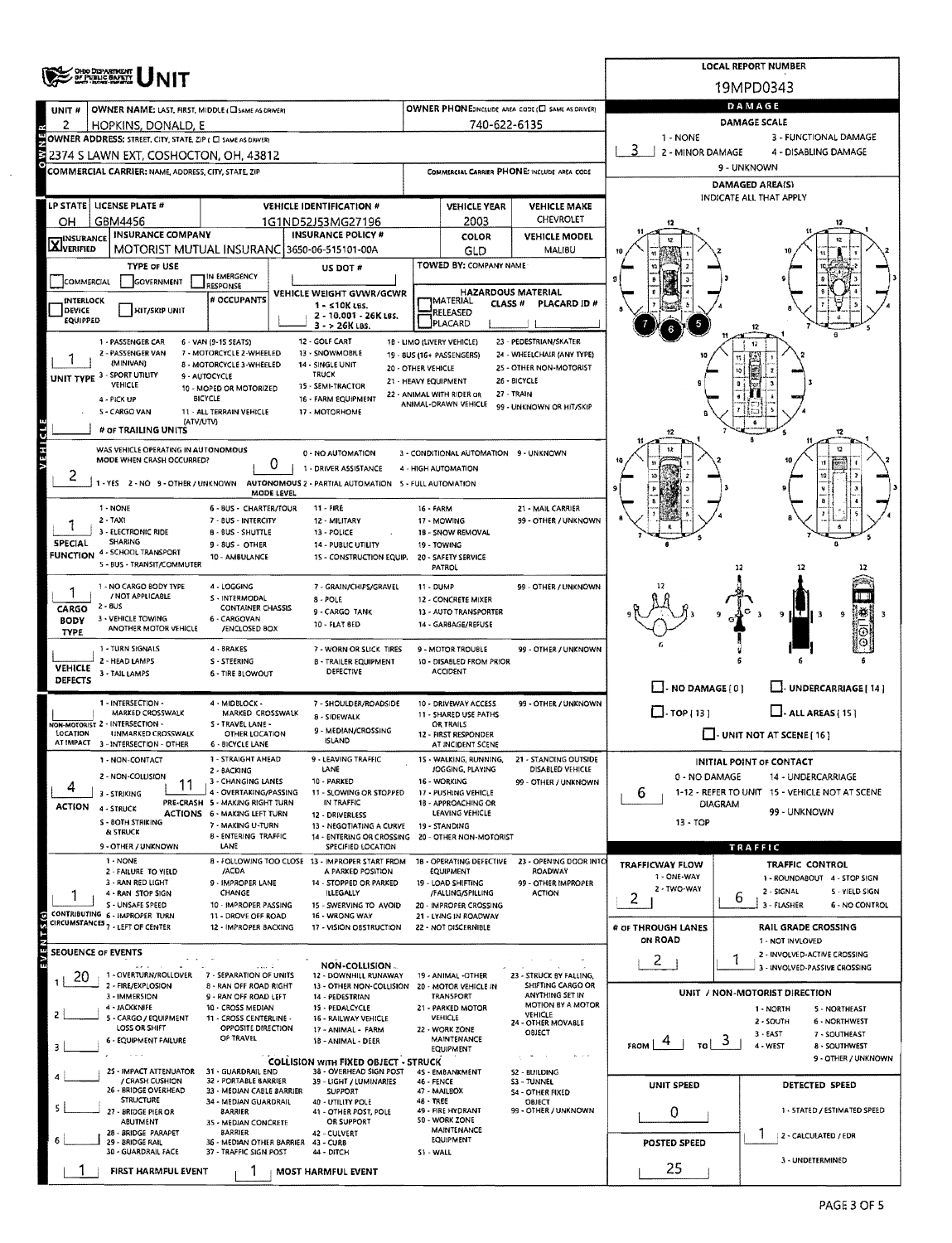| UNIT #                            |                                                                                                                                                                                                                                                                                                                                                                                                                                                                                                                                                                                                                                                                                                                                                                                                                                                                                                                                                                                                                                                                                                                                                                                                                                                                                                                                                                                                                                                                                                                                                                                                                                                                                                                                                                                                                                                                                                                                                                                                                                                                                                                                                                                                                                                                                                                                                                                                                                                                                                                                                                                            |                                                                                                                                                                                                                                                                                                                                                                                                                                                                                                                                                                                                                                                                                                                                                                                                                                                                                                                                                                                                                                                                                                                                                                                                                                                                                                                                                                                                                                                                                                                                                                                                                                                                                                                                                                                                                                                                                                                                                                                                                                                                                                                                                                                                                                                                                                                                                                                                                                                                                                                                                                                                                                                                                                                                                                                                                                                                                                                                                                                                                                                                                                                                                               |                           |  |                     |                      |                                                                                                                                                                                                                                                                                                                                                                                                                                                                                                                                                                                                                                                                                              | DAMAGE |  |
|-----------------------------------|--------------------------------------------------------------------------------------------------------------------------------------------------------------------------------------------------------------------------------------------------------------------------------------------------------------------------------------------------------------------------------------------------------------------------------------------------------------------------------------------------------------------------------------------------------------------------------------------------------------------------------------------------------------------------------------------------------------------------------------------------------------------------------------------------------------------------------------------------------------------------------------------------------------------------------------------------------------------------------------------------------------------------------------------------------------------------------------------------------------------------------------------------------------------------------------------------------------------------------------------------------------------------------------------------------------------------------------------------------------------------------------------------------------------------------------------------------------------------------------------------------------------------------------------------------------------------------------------------------------------------------------------------------------------------------------------------------------------------------------------------------------------------------------------------------------------------------------------------------------------------------------------------------------------------------------------------------------------------------------------------------------------------------------------------------------------------------------------------------------------------------------------------------------------------------------------------------------------------------------------------------------------------------------------------------------------------------------------------------------------------------------------------------------------------------------------------------------------------------------------------------------------------------------------------------------------------------------------|---------------------------------------------------------------------------------------------------------------------------------------------------------------------------------------------------------------------------------------------------------------------------------------------------------------------------------------------------------------------------------------------------------------------------------------------------------------------------------------------------------------------------------------------------------------------------------------------------------------------------------------------------------------------------------------------------------------------------------------------------------------------------------------------------------------------------------------------------------------------------------------------------------------------------------------------------------------------------------------------------------------------------------------------------------------------------------------------------------------------------------------------------------------------------------------------------------------------------------------------------------------------------------------------------------------------------------------------------------------------------------------------------------------------------------------------------------------------------------------------------------------------------------------------------------------------------------------------------------------------------------------------------------------------------------------------------------------------------------------------------------------------------------------------------------------------------------------------------------------------------------------------------------------------------------------------------------------------------------------------------------------------------------------------------------------------------------------------------------------------------------------------------------------------------------------------------------------------------------------------------------------------------------------------------------------------------------------------------------------------------------------------------------------------------------------------------------------------------------------------------------------------------------------------------------------------------------------------------------------------------------------------------------------------------------------------------------------------------------------------------------------------------------------------------------------------------------------------------------------------------------------------------------------------------------------------------------------------------------------------------------------------------------------------------------------------------------------------------------------------------------------------------------------|---------------------------|--|---------------------|----------------------|----------------------------------------------------------------------------------------------------------------------------------------------------------------------------------------------------------------------------------------------------------------------------------------------------------------------------------------------------------------------------------------------------------------------------------------------------------------------------------------------------------------------------------------------------------------------------------------------------------------------------------------------------------------------------------------------|--------|--|
| 2                                 |                                                                                                                                                                                                                                                                                                                                                                                                                                                                                                                                                                                                                                                                                                                                                                                                                                                                                                                                                                                                                                                                                                                                                                                                                                                                                                                                                                                                                                                                                                                                                                                                                                                                                                                                                                                                                                                                                                                                                                                                                                                                                                                                                                                                                                                                                                                                                                                                                                                                                                                                                                                            |                                                                                                                                                                                                                                                                                                                                                                                                                                                                                                                                                                                                                                                                                                                                                                                                                                                                                                                                                                                                                                                                                                                                                                                                                                                                                                                                                                                                                                                                                                                                                                                                                                                                                                                                                                                                                                                                                                                                                                                                                                                                                                                                                                                                                                                                                                                                                                                                                                                                                                                                                                                                                                                                                                                                                                                                                                                                                                                                                                                                                                                                                                                                                               |                           |  |                     |                      |                                                                                                                                                                                                                                                                                                                                                                                                                                                                                                                                                                                                                                                                                              |        |  |
|                                   |                                                                                                                                                                                                                                                                                                                                                                                                                                                                                                                                                                                                                                                                                                                                                                                                                                                                                                                                                                                                                                                                                                                                                                                                                                                                                                                                                                                                                                                                                                                                                                                                                                                                                                                                                                                                                                                                                                                                                                                                                                                                                                                                                                                                                                                                                                                                                                                                                                                                                                                                                                                            |                                                                                                                                                                                                                                                                                                                                                                                                                                                                                                                                                                                                                                                                                                                                                                                                                                                                                                                                                                                                                                                                                                                                                                                                                                                                                                                                                                                                                                                                                                                                                                                                                                                                                                                                                                                                                                                                                                                                                                                                                                                                                                                                                                                                                                                                                                                                                                                                                                                                                                                                                                                                                                                                                                                                                                                                                                                                                                                                                                                                                                                                                                                                                               |                           |  |                     |                      |                                                                                                                                                                                                                                                                                                                                                                                                                                                                                                                                                                                                                                                                                              |        |  |
|                                   |                                                                                                                                                                                                                                                                                                                                                                                                                                                                                                                                                                                                                                                                                                                                                                                                                                                                                                                                                                                                                                                                                                                                                                                                                                                                                                                                                                                                                                                                                                                                                                                                                                                                                                                                                                                                                                                                                                                                                                                                                                                                                                                                                                                                                                                                                                                                                                                                                                                                                                                                                                                            |                                                                                                                                                                                                                                                                                                                                                                                                                                                                                                                                                                                                                                                                                                                                                                                                                                                                                                                                                                                                                                                                                                                                                                                                                                                                                                                                                                                                                                                                                                                                                                                                                                                                                                                                                                                                                                                                                                                                                                                                                                                                                                                                                                                                                                                                                                                                                                                                                                                                                                                                                                                                                                                                                                                                                                                                                                                                                                                                                                                                                                                                                                                                                               |                           |  |                     |                      |                                                                                                                                                                                                                                                                                                                                                                                                                                                                                                                                                                                                                                                                                              |        |  |
|                                   |                                                                                                                                                                                                                                                                                                                                                                                                                                                                                                                                                                                                                                                                                                                                                                                                                                                                                                                                                                                                                                                                                                                                                                                                                                                                                                                                                                                                                                                                                                                                                                                                                                                                                                                                                                                                                                                                                                                                                                                                                                                                                                                                                                                                                                                                                                                                                                                                                                                                                                                                                                                            |                                                                                                                                                                                                                                                                                                                                                                                                                                                                                                                                                                                                                                                                                                                                                                                                                                                                                                                                                                                                                                                                                                                                                                                                                                                                                                                                                                                                                                                                                                                                                                                                                                                                                                                                                                                                                                                                                                                                                                                                                                                                                                                                                                                                                                                                                                                                                                                                                                                                                                                                                                                                                                                                                                                                                                                                                                                                                                                                                                                                                                                                                                                                                               |                           |  |                     |                      |                                                                                                                                                                                                                                                                                                                                                                                                                                                                                                                                                                                                                                                                                              |        |  |
|                                   |                                                                                                                                                                                                                                                                                                                                                                                                                                                                                                                                                                                                                                                                                                                                                                                                                                                                                                                                                                                                                                                                                                                                                                                                                                                                                                                                                                                                                                                                                                                                                                                                                                                                                                                                                                                                                                                                                                                                                                                                                                                                                                                                                                                                                                                                                                                                                                                                                                                                                                                                                                                            |                                                                                                                                                                                                                                                                                                                                                                                                                                                                                                                                                                                                                                                                                                                                                                                                                                                                                                                                                                                                                                                                                                                                                                                                                                                                                                                                                                                                                                                                                                                                                                                                                                                                                                                                                                                                                                                                                                                                                                                                                                                                                                                                                                                                                                                                                                                                                                                                                                                                                                                                                                                                                                                                                                                                                                                                                                                                                                                                                                                                                                                                                                                                                               |                           |  | <b>VEHICLE YEAR</b> | <b>VEHICLE MAKE</b>  |                                                                                                                                                                                                                                                                                                                                                                                                                                                                                                                                                                                                                                                                                              |        |  |
| ОH                                |                                                                                                                                                                                                                                                                                                                                                                                                                                                                                                                                                                                                                                                                                                                                                                                                                                                                                                                                                                                                                                                                                                                                                                                                                                                                                                                                                                                                                                                                                                                                                                                                                                                                                                                                                                                                                                                                                                                                                                                                                                                                                                                                                                                                                                                                                                                                                                                                                                                                                                                                                                                            |                                                                                                                                                                                                                                                                                                                                                                                                                                                                                                                                                                                                                                                                                                                                                                                                                                                                                                                                                                                                                                                                                                                                                                                                                                                                                                                                                                                                                                                                                                                                                                                                                                                                                                                                                                                                                                                                                                                                                                                                                                                                                                                                                                                                                                                                                                                                                                                                                                                                                                                                                                                                                                                                                                                                                                                                                                                                                                                                                                                                                                                                                                                                                               |                           |  | 2003                | CHEVROLET            |                                                                                                                                                                                                                                                                                                                                                                                                                                                                                                                                                                                                                                                                                              |        |  |
| <b>X</b> INSURANCE                |                                                                                                                                                                                                                                                                                                                                                                                                                                                                                                                                                                                                                                                                                                                                                                                                                                                                                                                                                                                                                                                                                                                                                                                                                                                                                                                                                                                                                                                                                                                                                                                                                                                                                                                                                                                                                                                                                                                                                                                                                                                                                                                                                                                                                                                                                                                                                                                                                                                                                                                                                                                            |                                                                                                                                                                                                                                                                                                                                                                                                                                                                                                                                                                                                                                                                                                                                                                                                                                                                                                                                                                                                                                                                                                                                                                                                                                                                                                                                                                                                                                                                                                                                                                                                                                                                                                                                                                                                                                                                                                                                                                                                                                                                                                                                                                                                                                                                                                                                                                                                                                                                                                                                                                                                                                                                                                                                                                                                                                                                                                                                                                                                                                                                                                                                                               |                           |  | COLOR               | <b>VEHICLE MODEL</b> |                                                                                                                                                                                                                                                                                                                                                                                                                                                                                                                                                                                                                                                                                              |        |  |
|                                   |                                                                                                                                                                                                                                                                                                                                                                                                                                                                                                                                                                                                                                                                                                                                                                                                                                                                                                                                                                                                                                                                                                                                                                                                                                                                                                                                                                                                                                                                                                                                                                                                                                                                                                                                                                                                                                                                                                                                                                                                                                                                                                                                                                                                                                                                                                                                                                                                                                                                                                                                                                                            |                                                                                                                                                                                                                                                                                                                                                                                                                                                                                                                                                                                                                                                                                                                                                                                                                                                                                                                                                                                                                                                                                                                                                                                                                                                                                                                                                                                                                                                                                                                                                                                                                                                                                                                                                                                                                                                                                                                                                                                                                                                                                                                                                                                                                                                                                                                                                                                                                                                                                                                                                                                                                                                                                                                                                                                                                                                                                                                                                                                                                                                                                                                                                               |                           |  |                     |                      |                                                                                                                                                                                                                                                                                                                                                                                                                                                                                                                                                                                                                                                                                              |        |  |
| COMMERCIAL                        | <b>TYPE OF USE</b><br>US DOT #<br>IN EMERGENCY<br><b>GOVERNMENT</b><br>RESPONSE<br><b>HAZARDOUS MATERIAL</b><br>VEHICLE WEIGHT GVWR/GCWR<br># OCCUPANTS<br>MATERIAL<br>CLASS <sup>#</sup><br>PLACARD ID #<br>$1 - 510K$ LBS.<br>HIT/SKIP UNIT<br>RELEASED<br>2 - 10.001 - 26K LBS.<br>PLACARD<br>3 - > 26K LBS.<br>12 - GOLF CART<br>23 - PEDESTRIAN/SKATER<br>6 - VAN (9-15 SEATS)<br>18 - LIMO (LIVERY VEHICLE)<br>12<br>7 - MOTORCYCLE 2-WHEELED<br>13 - SNOWMOBILE<br>24 - WHEELCHAIR (ANY TYPE)<br>19 - BUS (16+ PASSENGERS)<br>10<br>8 MOTORCYCLE 3-WHEELED<br>14 - SINGLE UNIT<br>20 - OTHER VEHICLE<br>25 - OTHER NON-MOTORIST<br><b>TRUCK</b><br>9 - AUTOCYCLE<br>26 - BICYCLE<br>21 - HEAVY EQUIPMENT<br>VEHICLE<br><b>15 - SEMI-TRACTOR</b><br>10 - MOPED OR MOTORIZED<br>22 - ANIMAL WITH RIDER OR<br>27 - TRAIN<br><b>BICYCLE</b><br>16 - FARM EQUIPMENT<br>ANIMAL-DRAWN VEHICLE<br>99 - UNKNOWN OR HIT/SKIP<br>11 - ALL TERRAIN VEHICLE<br>17 - MOTORHOME<br>(AIV/UTV)<br>12<br>12<br>12<br>0 - NO AUTOMATION<br>3 - CONDITIONAL AUTOMATION 9 - UNKNOWN<br>0<br>1 - DRIVER ASSISTANCE<br>4 - HIGH AUTOMATION<br>AUTONOMOUS 2 - PARTIAL AUTOMATION 5 - FULL AUTOMATION<br>MODE LEVEL<br>6 - BUS - CHARTER/TOUR<br>11 - FIRE<br>16 - FARM<br>21 - MAIL CARRIER<br>7 - 8US - INTERCITY<br>12 - MILITARY<br>17 - MOWING<br>99 - OTHER / UNKNOWN<br><b>B - BUS - SHUTTLE</b><br>13 - POLICE<br>18 - SNOW REMOVAL<br>9 - 8US - OTHER<br>14 - PUBLIC UTILITY<br>19 - TOWING<br>10 - AMBULANCE<br>15 - CONSTRUCTION EQUIP.<br>20 - SAFETY SERVICE<br>PATROL<br>4 - LOGGING<br>99 - OTHER / UNKNOWN<br>7 - GRAIN/CHIPS/GRAVEL<br>11 - DUMP<br>S - INTERMODAL<br>8 - POLE<br>12 - CONCRETE MIXER<br><b>CONTAINER CHASSIS</b><br>9 - CARGO TANK<br>13 - AUTO TRANSPORTER<br>IÇ.<br>9 ILT.<br>9<br>6 - CARGOVAN<br>10 - FLAT BED<br>14 - GARBAGE/REFUSE<br><b>/ENCLOSED BOX</b><br>4 - BRAKES<br>7 - WORN OR SLICK TIRES<br>9 - MOTOR TROUBLE<br>99 - OTHER / UNKNOWN<br>S - STEERING<br><b>B - TRAILER EQUIPMENT</b><br>10 - DISABLED FROM PRIOR<br>DEFECTIVE<br><b>ACCIDENT</b><br>6 - TIRE BLOWOUT<br>$\Box$ - NO DAMAGE $\{0\}$<br>LI-UNDERCARRIAGE   14 ]<br>4 - MIDBLOCK -<br>7 - SHOULDER/ROADSIDE<br>10 - DRIVEWAY ACCESS<br>99 - OTHER / UNKNOWN<br>$\Box$ TOP [13]<br>$\Box$ - ALL AREAS (15)<br>MARKED CROSSWALK<br>MARKED CROSSWALK<br>11 - SHARED USE PATHS<br>8 - SIDEWALK<br>S - TRAVEL LANE -<br>OR TRAILS<br>9 - MEDIAN/CROSSING<br>$\Box$ - UNIT NOT AT SCENE (16)<br>OTHER LOCATION<br>12 - FIRST RESPONDER<br><b>ISLAND</b><br>6 - BICYCLE LANE<br>AT INCIDENT SCENE |                                                                                                                                                                                                                                                                                                                                                                                                                                                                                                                                                                                                                                                                                                                                                                                                                                                                                                                                                                                                                                                                                                                                                                                                                                                                                                                                                                                                                                                                                                                                                                                                                                                                                                                                                                                                                                                                                                                                                                                                                                                                                                                                                                                                                                                                                                                                                                                                                                                                                                                                                                                                                                                                                                                                                                                                                                                                                                                                                                                                                                                                                                                                                               |                           |  |                     |                      |                                                                                                                                                                                                                                                                                                                                                                                                                                                                                                                                                                                                                                                                                              |        |  |
| <b>INTERLOCK</b>                  |                                                                                                                                                                                                                                                                                                                                                                                                                                                                                                                                                                                                                                                                                                                                                                                                                                                                                                                                                                                                                                                                                                                                                                                                                                                                                                                                                                                                                                                                                                                                                                                                                                                                                                                                                                                                                                                                                                                                                                                                                                                                                                                                                                                                                                                                                                                                                                                                                                                                                                                                                                                            |                                                                                                                                                                                                                                                                                                                                                                                                                                                                                                                                                                                                                                                                                                                                                                                                                                                                                                                                                                                                                                                                                                                                                                                                                                                                                                                                                                                                                                                                                                                                                                                                                                                                                                                                                                                                                                                                                                                                                                                                                                                                                                                                                                                                                                                                                                                                                                                                                                                                                                                                                                                                                                                                                                                                                                                                                                                                                                                                                                                                                                                                                                                                                               |                           |  |                     |                      | 2 - MINOR DAMAGE<br>4 - DISABLING DAMAGE<br>9 - UNKNOWN<br><b>DAMAGED AREA(S)</b><br>INDICATE ALL THAT APPLY<br><b>INITIAL POINT OF CONTACT</b><br>0 - NO DAMAGE<br>14 - UNDERCARRIAGE<br>1-12 - REFER TO UNIT 15 - VEHICLE NOT AT SCENE<br>6<br><b>DIAGRAM</b><br>99 - UNKNOWN<br>$13 - TOP$<br>TRAFFIC<br>TRAFFICWAY FLOW<br>TRAFFIC CONTROL<br>1 - ONE-WAY<br>1 - ROUNDABOUT 4 - STOP SIGN<br>2 - TWO-WAY<br>2 - SIGNAL<br>5 - YIELD SIGN<br>2<br>6<br>3 - FLASHER<br><b>6 - NO CONTROL</b><br># OF THROUGH LANES<br>RAIL GRADE CROSSING<br>ON ROAD<br>1 - NOT INVLOVED<br>2 - INVOLVED-ACTIVE CROSSING<br>$\mathbf{2}$<br>3 - INVOLVED-PASSIVE CROSSING<br>UNIT / NON-MOTORIST DIRECTION |        |  |
| DEVICE<br>EQUIPPED                |                                                                                                                                                                                                                                                                                                                                                                                                                                                                                                                                                                                                                                                                                                                                                                                                                                                                                                                                                                                                                                                                                                                                                                                                                                                                                                                                                                                                                                                                                                                                                                                                                                                                                                                                                                                                                                                                                                                                                                                                                                                                                                                                                                                                                                                                                                                                                                                                                                                                                                                                                                                            |                                                                                                                                                                                                                                                                                                                                                                                                                                                                                                                                                                                                                                                                                                                                                                                                                                                                                                                                                                                                                                                                                                                                                                                                                                                                                                                                                                                                                                                                                                                                                                                                                                                                                                                                                                                                                                                                                                                                                                                                                                                                                                                                                                                                                                                                                                                                                                                                                                                                                                                                                                                                                                                                                                                                                                                                                                                                                                                                                                                                                                                                                                                                                               |                           |  |                     |                      |                                                                                                                                                                                                                                                                                                                                                                                                                                                                                                                                                                                                                                                                                              |        |  |
|                                   |                                                                                                                                                                                                                                                                                                                                                                                                                                                                                                                                                                                                                                                                                                                                                                                                                                                                                                                                                                                                                                                                                                                                                                                                                                                                                                                                                                                                                                                                                                                                                                                                                                                                                                                                                                                                                                                                                                                                                                                                                                                                                                                                                                                                                                                                                                                                                                                                                                                                                                                                                                                            | <b>LOCAL REPORT NUMBER</b><br>19MPD0343<br>OWNER PHONE:INCLUDE AREA CODE (E) SAME AS DRIVERY<br>DAMAGE SCALE<br>740-622-6135<br>1 - NONE<br>3 - FUNCTIONAL DAMAGE<br>COMMERCIAL CARRIER PHONE: INCLUDE AREA CODE<br><b>VEHICLE IDENTIFICATION #</b><br>1G1ND52J53MG27196<br><b>INSURANCE POLICY #</b><br>GLD<br><b>MALIBU</b><br>TOWED BY: COMPANY NAME<br>1 - STRAIGHT AHEAD<br><b>LEAVING TRAFFIC</b><br>WALKING, RUNNING,<br>21 - STANDING OUTSIDE<br>LANE<br>JOGGING, PLAYING<br>DISABLED VEHICLE<br>2 - BACKING<br>3 - CHANGING LANES<br>10 - PARKED<br>16 - WORKING<br>99 - OTHER / UNKNOWN<br>11<br>4 - OVERTAKING/PASSING<br>11 - SLOWING OR STOPPED<br>17 - PUSHING VEHICLE<br>PRE-CRASH 5 - MAKING RIGHT TURN<br>IN TRAFFIC<br>18 - APPROACHING OR<br>LEAVING VEHICLE<br>ACTIONS 6 - MAKING LEFT TURN<br>12 - DRIVERLESS<br>7 - MAKING U-TURN<br>13 - NEGOTIATING A CURVE<br>19 - STANDING<br><b>8 - ENTERING TRAFFIC</b><br>14 - ENTERING OR CROSSING 20 - OTHER NON-MOTORIST<br>LANE<br>SPECIFIED LOCATION<br>8 - FOLLOWING TOO CLOSE 13 - IMPROPER START FROM<br>18 - OPERATING DEFECTIVE 23 - OPENING DOOR INTO<br>/ACDA<br><b>EQUIPMENT</b><br><b>ROADWAY</b><br>A PARKED POSITION<br>9 - IMPROPER LANE<br>14 - STOPPED OR PARKED<br>19 - LOAD SHIFTING<br>99 - OTHER IMPROPER<br><b>ACTION</b><br>CHANGE<br><b>ILLEGALLY</b><br>/FALLING/SPILLING<br>10 - IMPROPER PASSING<br>15 - SWERVING TO AVOID<br>20 - IMPROPER CROSSING<br>11 - DROVE OFF ROAD<br>16 - WRONG WAY<br>21 - LYING IN ROADWAY<br>12 - IMPROPER BACKING<br>17 - VISION OBSTRUCTION<br>22 - NOT DISCERNIBLE<br>NON-COLLISION-<br>7 - SEPARATION OF UNITS<br>23 - STRUCK BY FALLING,<br>12 - DOWNHILL RUNAWAY<br>19 - ANIMAL -OTHER<br>8 - RAN OFF ROAD RIGHT<br>SHIFTING CARGO OR<br>13 - OTHER NON-COLLISION 20 - MOTOR VEHICLE IN<br>ANYTHING SET IN<br><b>TRANSPORT</b><br>9 - RAN OFF ROAD LEFT<br>14 - PEDESTRIAN<br>MOTION BY A MOTOR<br>10 - CROSS MEDIAN<br>15 - PEDALCYCLE<br>21 - PARKED MOTOR<br>1 - NORTH<br>5 - NORTHEAST<br>VEHICLE<br>VEHICLE<br>11 - CROSS CENTERLINE -<br>16 - RAILWAY VEHICLE<br>2 - SOUTH<br><b>6 NORTHWEST</b><br>24 - OTHER MOVABLE<br>OPPOSITE DIRECTION<br>22 - WORK ZONE<br>17 ANIMAL - FARM<br>OBJECT<br>$3 - EAST$<br>7 - SOUTHEAST<br>OF TRAVEL<br><b>MAINTENANCE</b><br>18 - ANIMAL - DEER<br>ು<br><b>FROM</b><br>TO !<br>4 - WEST<br><b>8 - SOUTHWEST</b><br>EQUIPMENT<br>$\sim$<br>$\sim$ $\sim$<br>$m \rightarrow +$<br>9 - OTHER / UNKNOWN<br><b>COLLISION WITH FIXED OBJECT - STRUCK</b><br>31 - GUARDRAIL END<br>38 - OVERHEAD SIGN POST<br>4S - EMBANKMENT<br>52 - BUILDING<br>32 - PORTABLE BARRIER<br>39 - LIGHT / LUMINARIES<br>46 - FENCE<br>53 - TUNNEL<br>UNIT SPEED<br>DETECTED SPEED<br>33 - MEDIAN CABLE BARRIER<br><b>SUPPORT</b><br>47 - MAILBOX<br><b>S4 - OTHER FIXED</b><br>48 - TREE<br>34 - MEDIAN GUARDRAIL<br>40 - UTILITY POLE<br>OBJECT<br>49 - FIRE HYDRANT<br>99 - OTHER / UNKNOWN<br>1 - STATED / ESTIMATED SPEED<br>0<br><b>BARRIER</b><br>41 - OTHER POST, POLE<br>50 - WORK ZONE<br>OR SUPPORT<br>35 - MEDIAN CONCRETE<br>MAINTENANCE<br><b>BARRIER</b><br>42 - CULVERT<br>2 - CALCULATED / EDR |                           |  |                     |                      |                                                                                                                                                                                                                                                                                                                                                                                                                                                                                                                                                                                                                                                                                              |        |  |
|                                   |                                                                                                                                                                                                                                                                                                                                                                                                                                                                                                                                                                                                                                                                                                                                                                                                                                                                                                                                                                                                                                                                                                                                                                                                                                                                                                                                                                                                                                                                                                                                                                                                                                                                                                                                                                                                                                                                                                                                                                                                                                                                                                                                                                                                                                                                                                                                                                                                                                                                                                                                                                                            |                                                                                                                                                                                                                                                                                                                                                                                                                                                                                                                                                                                                                                                                                                                                                                                                                                                                                                                                                                                                                                                                                                                                                                                                                                                                                                                                                                                                                                                                                                                                                                                                                                                                                                                                                                                                                                                                                                                                                                                                                                                                                                                                                                                                                                                                                                                                                                                                                                                                                                                                                                                                                                                                                                                                                                                                                                                                                                                                                                                                                                                                                                                                                               |                           |  |                     |                      |                                                                                                                                                                                                                                                                                                                                                                                                                                                                                                                                                                                                                                                                                              |        |  |
|                                   | MOTORIST MUTUAL INSURANC 3650-06-515101-00A                                                                                                                                                                                                                                                                                                                                                                                                                                                                                                                                                                                                                                                                                                                                                                                                                                                                                                                                                                                                                                                                                                                                                                                                                                                                                                                                                                                                                                                                                                                                                                                                                                                                                                                                                                                                                                                                                                                                                                                                                                                                                                                                                                                                                                                                                                                                                                                                                                                                                                                                                |                                                                                                                                                                                                                                                                                                                                                                                                                                                                                                                                                                                                                                                                                                                                                                                                                                                                                                                                                                                                                                                                                                                                                                                                                                                                                                                                                                                                                                                                                                                                                                                                                                                                                                                                                                                                                                                                                                                                                                                                                                                                                                                                                                                                                                                                                                                                                                                                                                                                                                                                                                                                                                                                                                                                                                                                                                                                                                                                                                                                                                                                                                                                                               |                           |  |                     |                      |                                                                                                                                                                                                                                                                                                                                                                                                                                                                                                                                                                                                                                                                                              |        |  |
|                                   |                                                                                                                                                                                                                                                                                                                                                                                                                                                                                                                                                                                                                                                                                                                                                                                                                                                                                                                                                                                                                                                                                                                                                                                                                                                                                                                                                                                                                                                                                                                                                                                                                                                                                                                                                                                                                                                                                                                                                                                                                                                                                                                                                                                                                                                                                                                                                                                                                                                                                                                                                                                            | / CRASH CUSHION<br><b>STRUCTURE</b><br>ABUTMENT                                                                                                                                                                                                                                                                                                                                                                                                                                                                                                                                                                                                                                                                                                                                                                                                                                                                                                                                                                                                                                                                                                                                                                                                                                                                                                                                                                                                                                                                                                                                                                                                                                                                                                                                                                                                                                                                                                                                                                                                                                                                                                                                                                                                                                                                                                                                                                                                                                                                                                                                                                                                                                                                                                                                                                                                                                                                                                                                                                                                                                                                                                               |                           |  |                     |                      |                                                                                                                                                                                                                                                                                                                                                                                                                                                                                                                                                                                                                                                                                              |        |  |
|                                   |                                                                                                                                                                                                                                                                                                                                                                                                                                                                                                                                                                                                                                                                                                                                                                                                                                                                                                                                                                                                                                                                                                                                                                                                                                                                                                                                                                                                                                                                                                                                                                                                                                                                                                                                                                                                                                                                                                                                                                                                                                                                                                                                                                                                                                                                                                                                                                                                                                                                                                                                                                                            |                                                                                                                                                                                                                                                                                                                                                                                                                                                                                                                                                                                                                                                                                                                                                                                                                                                                                                                                                                                                                                                                                                                                                                                                                                                                                                                                                                                                                                                                                                                                                                                                                                                                                                                                                                                                                                                                                                                                                                                                                                                                                                                                                                                                                                                                                                                                                                                                                                                                                                                                                                                                                                                                                                                                                                                                                                                                                                                                                                                                                                                                                                                                                               |                           |  |                     |                      |                                                                                                                                                                                                                                                                                                                                                                                                                                                                                                                                                                                                                                                                                              |        |  |
|                                   | <b>OHIO DEPARTMENT</b><br>OF PUBLIC BAFETY<br>OWNER NAME: LAST, FIRST, MIDDLE (CISAME AS DRIVER)<br>HOPKINS, DONALD, E<br>OWNER ADDRESS: STREET, CITY, STATE, ZIP ( CI SAME AS DRIVER)<br>2374 S LAWN EXT, COSHOCTON, OH, 43812<br>COMMERCIAL CARRIER: NAME, ADDRESS, CITY, STATE, ZIP<br>LP STATE   LICENSE PLATE #<br>GBM4456<br><b>INSURANCE COMPANY</b><br>1 - PASSENGER CAR<br>2 - PASSENGER VAN<br>(MINIVAN)<br>UNIT TYPE 3 - SPORT UTILITY<br>4 - PICK UP<br>5 - CARGO VAN<br># OF TRAILING UNITS<br>WAS VEHICLE OPERATING IN AUTONOMOUS<br>MODE WHEN CRASH OCCURRED?<br>1 - YES 2 - NO 9 - OTHER / UNKNOWN<br>1 - NONE<br>$2 - TAX1$<br>3 - ELECTRONIC RIDE<br><b>SHARING</b><br>4 - SCHOOL TRANSPORT<br>S - BUS - TRANSIT/COMMUTER<br>1 - NO CARGO BODY TYPE<br>/ NOT APPLICABLE<br>$2 - 8US$<br>3 - VEHICLE TOWING<br>ANOTHER MOTOR VEHICLE<br>1 - TURN SIGNALS<br>2 - HEAD LAMPS<br>3 - TAIL LAMPS<br>1 - INTERSECTION -<br>VON-MOTORIST 2 - INTERSECTION -<br>UNMARKED CROSSWALK<br>AT IMPACT 3 - INTERSECTION - OTHER<br>1 - NON-CONTACT<br>2 - NON-COLLISION<br>3 - STRIKING<br>4 - STRUCK<br>S - BOTH STRIKING<br>& STRUCK<br>9 - OTHER / UNKNOWN<br>1 - NONE<br>2 - FAILURE TO YIELD<br>3 - RAN RED LIGHT<br>4 - RAN STOP SIGN<br>S - UNSAFE SPEED<br>CONTRIBUTING 6 - IMPROPER TURN<br>CIRCUMSTANCES <sub>7</sub> - LEFT OF CENTER<br>1 - OVERTURN/ROLLOVER<br>2 - FIRE/EXPLOSION<br>3 - IMMERSION<br>4 - JACKKNIFE<br>5 - CARGO / EQUIPMENT<br>LOSS OR SHIFT<br>6 - EQUIPMENT FAILURE<br>25 - IMPACT ATTENUATOR<br>26 - BRIDGE OVERHEAD<br>27 - BRIDGE PIER OR<br>28 - BRIDGE PARAPET<br>EQUIPMENT<br>29 - BRIDGE RAIL<br>36 - MEDIAN OTHER BARRIER 43 - CURB<br>POSTED SPEED<br>30 - GUARDRAIL FACE<br>37 - TRAFFIC SIGN POST<br>44 - DITCH<br>51 - WALL<br>3 - UNDETERMINED                                                                                                                                                                                                                                                                                                                                                                                                                                                                                                                                                                                                                                                                                                                                                                                            |                                                                                                                                                                                                                                                                                                                                                                                                                                                                                                                                                                                                                                                                                                                                                                                                                                                                                                                                                                                                                                                                                                                                                                                                                                                                                                                                                                                                                                                                                                                                                                                                                                                                                                                                                                                                                                                                                                                                                                                                                                                                                                                                                                                                                                                                                                                                                                                                                                                                                                                                                                                                                                                                                                                                                                                                                                                                                                                                                                                                                                                                                                                                                               |                           |  |                     |                      |                                                                                                                                                                                                                                                                                                                                                                                                                                                                                                                                                                                                                                                                                              |        |  |
| VEHICLE                           |                                                                                                                                                                                                                                                                                                                                                                                                                                                                                                                                                                                                                                                                                                                                                                                                                                                                                                                                                                                                                                                                                                                                                                                                                                                                                                                                                                                                                                                                                                                                                                                                                                                                                                                                                                                                                                                                                                                                                                                                                                                                                                                                                                                                                                                                                                                                                                                                                                                                                                                                                                                            |                                                                                                                                                                                                                                                                                                                                                                                                                                                                                                                                                                                                                                                                                                                                                                                                                                                                                                                                                                                                                                                                                                                                                                                                                                                                                                                                                                                                                                                                                                                                                                                                                                                                                                                                                                                                                                                                                                                                                                                                                                                                                                                                                                                                                                                                                                                                                                                                                                                                                                                                                                                                                                                                                                                                                                                                                                                                                                                                                                                                                                                                                                                                                               |                           |  |                     |                      |                                                                                                                                                                                                                                                                                                                                                                                                                                                                                                                                                                                                                                                                                              |        |  |
| 2                                 |                                                                                                                                                                                                                                                                                                                                                                                                                                                                                                                                                                                                                                                                                                                                                                                                                                                                                                                                                                                                                                                                                                                                                                                                                                                                                                                                                                                                                                                                                                                                                                                                                                                                                                                                                                                                                                                                                                                                                                                                                                                                                                                                                                                                                                                                                                                                                                                                                                                                                                                                                                                            |                                                                                                                                                                                                                                                                                                                                                                                                                                                                                                                                                                                                                                                                                                                                                                                                                                                                                                                                                                                                                                                                                                                                                                                                                                                                                                                                                                                                                                                                                                                                                                                                                                                                                                                                                                                                                                                                                                                                                                                                                                                                                                                                                                                                                                                                                                                                                                                                                                                                                                                                                                                                                                                                                                                                                                                                                                                                                                                                                                                                                                                                                                                                                               |                           |  |                     |                      |                                                                                                                                                                                                                                                                                                                                                                                                                                                                                                                                                                                                                                                                                              |        |  |
|                                   |                                                                                                                                                                                                                                                                                                                                                                                                                                                                                                                                                                                                                                                                                                                                                                                                                                                                                                                                                                                                                                                                                                                                                                                                                                                                                                                                                                                                                                                                                                                                                                                                                                                                                                                                                                                                                                                                                                                                                                                                                                                                                                                                                                                                                                                                                                                                                                                                                                                                                                                                                                                            |                                                                                                                                                                                                                                                                                                                                                                                                                                                                                                                                                                                                                                                                                                                                                                                                                                                                                                                                                                                                                                                                                                                                                                                                                                                                                                                                                                                                                                                                                                                                                                                                                                                                                                                                                                                                                                                                                                                                                                                                                                                                                                                                                                                                                                                                                                                                                                                                                                                                                                                                                                                                                                                                                                                                                                                                                                                                                                                                                                                                                                                                                                                                                               |                           |  |                     |                      |                                                                                                                                                                                                                                                                                                                                                                                                                                                                                                                                                                                                                                                                                              |        |  |
|                                   |                                                                                                                                                                                                                                                                                                                                                                                                                                                                                                                                                                                                                                                                                                                                                                                                                                                                                                                                                                                                                                                                                                                                                                                                                                                                                                                                                                                                                                                                                                                                                                                                                                                                                                                                                                                                                                                                                                                                                                                                                                                                                                                                                                                                                                                                                                                                                                                                                                                                                                                                                                                            |                                                                                                                                                                                                                                                                                                                                                                                                                                                                                                                                                                                                                                                                                                                                                                                                                                                                                                                                                                                                                                                                                                                                                                                                                                                                                                                                                                                                                                                                                                                                                                                                                                                                                                                                                                                                                                                                                                                                                                                                                                                                                                                                                                                                                                                                                                                                                                                                                                                                                                                                                                                                                                                                                                                                                                                                                                                                                                                                                                                                                                                                                                                                                               |                           |  |                     |                      |                                                                                                                                                                                                                                                                                                                                                                                                                                                                                                                                                                                                                                                                                              |        |  |
|                                   |                                                                                                                                                                                                                                                                                                                                                                                                                                                                                                                                                                                                                                                                                                                                                                                                                                                                                                                                                                                                                                                                                                                                                                                                                                                                                                                                                                                                                                                                                                                                                                                                                                                                                                                                                                                                                                                                                                                                                                                                                                                                                                                                                                                                                                                                                                                                                                                                                                                                                                                                                                                            |                                                                                                                                                                                                                                                                                                                                                                                                                                                                                                                                                                                                                                                                                                                                                                                                                                                                                                                                                                                                                                                                                                                                                                                                                                                                                                                                                                                                                                                                                                                                                                                                                                                                                                                                                                                                                                                                                                                                                                                                                                                                                                                                                                                                                                                                                                                                                                                                                                                                                                                                                                                                                                                                                                                                                                                                                                                                                                                                                                                                                                                                                                                                                               |                           |  |                     |                      |                                                                                                                                                                                                                                                                                                                                                                                                                                                                                                                                                                                                                                                                                              |        |  |
| SPECIAL<br><b>FUNCTION</b>        |                                                                                                                                                                                                                                                                                                                                                                                                                                                                                                                                                                                                                                                                                                                                                                                                                                                                                                                                                                                                                                                                                                                                                                                                                                                                                                                                                                                                                                                                                                                                                                                                                                                                                                                                                                                                                                                                                                                                                                                                                                                                                                                                                                                                                                                                                                                                                                                                                                                                                                                                                                                            |                                                                                                                                                                                                                                                                                                                                                                                                                                                                                                                                                                                                                                                                                                                                                                                                                                                                                                                                                                                                                                                                                                                                                                                                                                                                                                                                                                                                                                                                                                                                                                                                                                                                                                                                                                                                                                                                                                                                                                                                                                                                                                                                                                                                                                                                                                                                                                                                                                                                                                                                                                                                                                                                                                                                                                                                                                                                                                                                                                                                                                                                                                                                                               |                           |  |                     |                      |                                                                                                                                                                                                                                                                                                                                                                                                                                                                                                                                                                                                                                                                                              |        |  |
|                                   |                                                                                                                                                                                                                                                                                                                                                                                                                                                                                                                                                                                                                                                                                                                                                                                                                                                                                                                                                                                                                                                                                                                                                                                                                                                                                                                                                                                                                                                                                                                                                                                                                                                                                                                                                                                                                                                                                                                                                                                                                                                                                                                                                                                                                                                                                                                                                                                                                                                                                                                                                                                            |                                                                                                                                                                                                                                                                                                                                                                                                                                                                                                                                                                                                                                                                                                                                                                                                                                                                                                                                                                                                                                                                                                                                                                                                                                                                                                                                                                                                                                                                                                                                                                                                                                                                                                                                                                                                                                                                                                                                                                                                                                                                                                                                                                                                                                                                                                                                                                                                                                                                                                                                                                                                                                                                                                                                                                                                                                                                                                                                                                                                                                                                                                                                                               |                           |  |                     |                      |                                                                                                                                                                                                                                                                                                                                                                                                                                                                                                                                                                                                                                                                                              |        |  |
|                                   |                                                                                                                                                                                                                                                                                                                                                                                                                                                                                                                                                                                                                                                                                                                                                                                                                                                                                                                                                                                                                                                                                                                                                                                                                                                                                                                                                                                                                                                                                                                                                                                                                                                                                                                                                                                                                                                                                                                                                                                                                                                                                                                                                                                                                                                                                                                                                                                                                                                                                                                                                                                            |                                                                                                                                                                                                                                                                                                                                                                                                                                                                                                                                                                                                                                                                                                                                                                                                                                                                                                                                                                                                                                                                                                                                                                                                                                                                                                                                                                                                                                                                                                                                                                                                                                                                                                                                                                                                                                                                                                                                                                                                                                                                                                                                                                                                                                                                                                                                                                                                                                                                                                                                                                                                                                                                                                                                                                                                                                                                                                                                                                                                                                                                                                                                                               |                           |  |                     |                      |                                                                                                                                                                                                                                                                                                                                                                                                                                                                                                                                                                                                                                                                                              |        |  |
| CARGO                             |                                                                                                                                                                                                                                                                                                                                                                                                                                                                                                                                                                                                                                                                                                                                                                                                                                                                                                                                                                                                                                                                                                                                                                                                                                                                                                                                                                                                                                                                                                                                                                                                                                                                                                                                                                                                                                                                                                                                                                                                                                                                                                                                                                                                                                                                                                                                                                                                                                                                                                                                                                                            |                                                                                                                                                                                                                                                                                                                                                                                                                                                                                                                                                                                                                                                                                                                                                                                                                                                                                                                                                                                                                                                                                                                                                                                                                                                                                                                                                                                                                                                                                                                                                                                                                                                                                                                                                                                                                                                                                                                                                                                                                                                                                                                                                                                                                                                                                                                                                                                                                                                                                                                                                                                                                                                                                                                                                                                                                                                                                                                                                                                                                                                                                                                                                               |                           |  |                     |                      |                                                                                                                                                                                                                                                                                                                                                                                                                                                                                                                                                                                                                                                                                              |        |  |
| <b>BODY</b><br>TYPE               |                                                                                                                                                                                                                                                                                                                                                                                                                                                                                                                                                                                                                                                                                                                                                                                                                                                                                                                                                                                                                                                                                                                                                                                                                                                                                                                                                                                                                                                                                                                                                                                                                                                                                                                                                                                                                                                                                                                                                                                                                                                                                                                                                                                                                                                                                                                                                                                                                                                                                                                                                                                            |                                                                                                                                                                                                                                                                                                                                                                                                                                                                                                                                                                                                                                                                                                                                                                                                                                                                                                                                                                                                                                                                                                                                                                                                                                                                                                                                                                                                                                                                                                                                                                                                                                                                                                                                                                                                                                                                                                                                                                                                                                                                                                                                                                                                                                                                                                                                                                                                                                                                                                                                                                                                                                                                                                                                                                                                                                                                                                                                                                                                                                                                                                                                                               |                           |  |                     |                      |                                                                                                                                                                                                                                                                                                                                                                                                                                                                                                                                                                                                                                                                                              |        |  |
|                                   |                                                                                                                                                                                                                                                                                                                                                                                                                                                                                                                                                                                                                                                                                                                                                                                                                                                                                                                                                                                                                                                                                                                                                                                                                                                                                                                                                                                                                                                                                                                                                                                                                                                                                                                                                                                                                                                                                                                                                                                                                                                                                                                                                                                                                                                                                                                                                                                                                                                                                                                                                                                            |                                                                                                                                                                                                                                                                                                                                                                                                                                                                                                                                                                                                                                                                                                                                                                                                                                                                                                                                                                                                                                                                                                                                                                                                                                                                                                                                                                                                                                                                                                                                                                                                                                                                                                                                                                                                                                                                                                                                                                                                                                                                                                                                                                                                                                                                                                                                                                                                                                                                                                                                                                                                                                                                                                                                                                                                                                                                                                                                                                                                                                                                                                                                                               |                           |  |                     |                      |                                                                                                                                                                                                                                                                                                                                                                                                                                                                                                                                                                                                                                                                                              |        |  |
| VEHICLE                           |                                                                                                                                                                                                                                                                                                                                                                                                                                                                                                                                                                                                                                                                                                                                                                                                                                                                                                                                                                                                                                                                                                                                                                                                                                                                                                                                                                                                                                                                                                                                                                                                                                                                                                                                                                                                                                                                                                                                                                                                                                                                                                                                                                                                                                                                                                                                                                                                                                                                                                                                                                                            |                                                                                                                                                                                                                                                                                                                                                                                                                                                                                                                                                                                                                                                                                                                                                                                                                                                                                                                                                                                                                                                                                                                                                                                                                                                                                                                                                                                                                                                                                                                                                                                                                                                                                                                                                                                                                                                                                                                                                                                                                                                                                                                                                                                                                                                                                                                                                                                                                                                                                                                                                                                                                                                                                                                                                                                                                                                                                                                                                                                                                                                                                                                                                               |                           |  |                     |                      |                                                                                                                                                                                                                                                                                                                                                                                                                                                                                                                                                                                                                                                                                              |        |  |
| <b>DEFECTS</b>                    |                                                                                                                                                                                                                                                                                                                                                                                                                                                                                                                                                                                                                                                                                                                                                                                                                                                                                                                                                                                                                                                                                                                                                                                                                                                                                                                                                                                                                                                                                                                                                                                                                                                                                                                                                                                                                                                                                                                                                                                                                                                                                                                                                                                                                                                                                                                                                                                                                                                                                                                                                                                            |                                                                                                                                                                                                                                                                                                                                                                                                                                                                                                                                                                                                                                                                                                                                                                                                                                                                                                                                                                                                                                                                                                                                                                                                                                                                                                                                                                                                                                                                                                                                                                                                                                                                                                                                                                                                                                                                                                                                                                                                                                                                                                                                                                                                                                                                                                                                                                                                                                                                                                                                                                                                                                                                                                                                                                                                                                                                                                                                                                                                                                                                                                                                                               |                           |  |                     |                      |                                                                                                                                                                                                                                                                                                                                                                                                                                                                                                                                                                                                                                                                                              |        |  |
|                                   |                                                                                                                                                                                                                                                                                                                                                                                                                                                                                                                                                                                                                                                                                                                                                                                                                                                                                                                                                                                                                                                                                                                                                                                                                                                                                                                                                                                                                                                                                                                                                                                                                                                                                                                                                                                                                                                                                                                                                                                                                                                                                                                                                                                                                                                                                                                                                                                                                                                                                                                                                                                            |                                                                                                                                                                                                                                                                                                                                                                                                                                                                                                                                                                                                                                                                                                                                                                                                                                                                                                                                                                                                                                                                                                                                                                                                                                                                                                                                                                                                                                                                                                                                                                                                                                                                                                                                                                                                                                                                                                                                                                                                                                                                                                                                                                                                                                                                                                                                                                                                                                                                                                                                                                                                                                                                                                                                                                                                                                                                                                                                                                                                                                                                                                                                                               |                           |  |                     |                      |                                                                                                                                                                                                                                                                                                                                                                                                                                                                                                                                                                                                                                                                                              |        |  |
|                                   |                                                                                                                                                                                                                                                                                                                                                                                                                                                                                                                                                                                                                                                                                                                                                                                                                                                                                                                                                                                                                                                                                                                                                                                                                                                                                                                                                                                                                                                                                                                                                                                                                                                                                                                                                                                                                                                                                                                                                                                                                                                                                                                                                                                                                                                                                                                                                                                                                                                                                                                                                                                            |                                                                                                                                                                                                                                                                                                                                                                                                                                                                                                                                                                                                                                                                                                                                                                                                                                                                                                                                                                                                                                                                                                                                                                                                                                                                                                                                                                                                                                                                                                                                                                                                                                                                                                                                                                                                                                                                                                                                                                                                                                                                                                                                                                                                                                                                                                                                                                                                                                                                                                                                                                                                                                                                                                                                                                                                                                                                                                                                                                                                                                                                                                                                                               |                           |  |                     |                      |                                                                                                                                                                                                                                                                                                                                                                                                                                                                                                                                                                                                                                                                                              |        |  |
| LOCATION                          |                                                                                                                                                                                                                                                                                                                                                                                                                                                                                                                                                                                                                                                                                                                                                                                                                                                                                                                                                                                                                                                                                                                                                                                                                                                                                                                                                                                                                                                                                                                                                                                                                                                                                                                                                                                                                                                                                                                                                                                                                                                                                                                                                                                                                                                                                                                                                                                                                                                                                                                                                                                            |                                                                                                                                                                                                                                                                                                                                                                                                                                                                                                                                                                                                                                                                                                                                                                                                                                                                                                                                                                                                                                                                                                                                                                                                                                                                                                                                                                                                                                                                                                                                                                                                                                                                                                                                                                                                                                                                                                                                                                                                                                                                                                                                                                                                                                                                                                                                                                                                                                                                                                                                                                                                                                                                                                                                                                                                                                                                                                                                                                                                                                                                                                                                                               |                           |  |                     |                      |                                                                                                                                                                                                                                                                                                                                                                                                                                                                                                                                                                                                                                                                                              |        |  |
|                                   |                                                                                                                                                                                                                                                                                                                                                                                                                                                                                                                                                                                                                                                                                                                                                                                                                                                                                                                                                                                                                                                                                                                                                                                                                                                                                                                                                                                                                                                                                                                                                                                                                                                                                                                                                                                                                                                                                                                                                                                                                                                                                                                                                                                                                                                                                                                                                                                                                                                                                                                                                                                            |                                                                                                                                                                                                                                                                                                                                                                                                                                                                                                                                                                                                                                                                                                                                                                                                                                                                                                                                                                                                                                                                                                                                                                                                                                                                                                                                                                                                                                                                                                                                                                                                                                                                                                                                                                                                                                                                                                                                                                                                                                                                                                                                                                                                                                                                                                                                                                                                                                                                                                                                                                                                                                                                                                                                                                                                                                                                                                                                                                                                                                                                                                                                                               |                           |  |                     |                      |                                                                                                                                                                                                                                                                                                                                                                                                                                                                                                                                                                                                                                                                                              |        |  |
|                                   |                                                                                                                                                                                                                                                                                                                                                                                                                                                                                                                                                                                                                                                                                                                                                                                                                                                                                                                                                                                                                                                                                                                                                                                                                                                                                                                                                                                                                                                                                                                                                                                                                                                                                                                                                                                                                                                                                                                                                                                                                                                                                                                                                                                                                                                                                                                                                                                                                                                                                                                                                                                            |                                                                                                                                                                                                                                                                                                                                                                                                                                                                                                                                                                                                                                                                                                                                                                                                                                                                                                                                                                                                                                                                                                                                                                                                                                                                                                                                                                                                                                                                                                                                                                                                                                                                                                                                                                                                                                                                                                                                                                                                                                                                                                                                                                                                                                                                                                                                                                                                                                                                                                                                                                                                                                                                                                                                                                                                                                                                                                                                                                                                                                                                                                                                                               |                           |  |                     |                      |                                                                                                                                                                                                                                                                                                                                                                                                                                                                                                                                                                                                                                                                                              |        |  |
| 4                                 |                                                                                                                                                                                                                                                                                                                                                                                                                                                                                                                                                                                                                                                                                                                                                                                                                                                                                                                                                                                                                                                                                                                                                                                                                                                                                                                                                                                                                                                                                                                                                                                                                                                                                                                                                                                                                                                                                                                                                                                                                                                                                                                                                                                                                                                                                                                                                                                                                                                                                                                                                                                            |                                                                                                                                                                                                                                                                                                                                                                                                                                                                                                                                                                                                                                                                                                                                                                                                                                                                                                                                                                                                                                                                                                                                                                                                                                                                                                                                                                                                                                                                                                                                                                                                                                                                                                                                                                                                                                                                                                                                                                                                                                                                                                                                                                                                                                                                                                                                                                                                                                                                                                                                                                                                                                                                                                                                                                                                                                                                                                                                                                                                                                                                                                                                                               |                           |  |                     |                      |                                                                                                                                                                                                                                                                                                                                                                                                                                                                                                                                                                                                                                                                                              |        |  |
| ACTION                            |                                                                                                                                                                                                                                                                                                                                                                                                                                                                                                                                                                                                                                                                                                                                                                                                                                                                                                                                                                                                                                                                                                                                                                                                                                                                                                                                                                                                                                                                                                                                                                                                                                                                                                                                                                                                                                                                                                                                                                                                                                                                                                                                                                                                                                                                                                                                                                                                                                                                                                                                                                                            |                                                                                                                                                                                                                                                                                                                                                                                                                                                                                                                                                                                                                                                                                                                                                                                                                                                                                                                                                                                                                                                                                                                                                                                                                                                                                                                                                                                                                                                                                                                                                                                                                                                                                                                                                                                                                                                                                                                                                                                                                                                                                                                                                                                                                                                                                                                                                                                                                                                                                                                                                                                                                                                                                                                                                                                                                                                                                                                                                                                                                                                                                                                                                               |                           |  |                     |                      |                                                                                                                                                                                                                                                                                                                                                                                                                                                                                                                                                                                                                                                                                              |        |  |
|                                   |                                                                                                                                                                                                                                                                                                                                                                                                                                                                                                                                                                                                                                                                                                                                                                                                                                                                                                                                                                                                                                                                                                                                                                                                                                                                                                                                                                                                                                                                                                                                                                                                                                                                                                                                                                                                                                                                                                                                                                                                                                                                                                                                                                                                                                                                                                                                                                                                                                                                                                                                                                                            |                                                                                                                                                                                                                                                                                                                                                                                                                                                                                                                                                                                                                                                                                                                                                                                                                                                                                                                                                                                                                                                                                                                                                                                                                                                                                                                                                                                                                                                                                                                                                                                                                                                                                                                                                                                                                                                                                                                                                                                                                                                                                                                                                                                                                                                                                                                                                                                                                                                                                                                                                                                                                                                                                                                                                                                                                                                                                                                                                                                                                                                                                                                                                               |                           |  |                     |                      |                                                                                                                                                                                                                                                                                                                                                                                                                                                                                                                                                                                                                                                                                              |        |  |
|                                   |                                                                                                                                                                                                                                                                                                                                                                                                                                                                                                                                                                                                                                                                                                                                                                                                                                                                                                                                                                                                                                                                                                                                                                                                                                                                                                                                                                                                                                                                                                                                                                                                                                                                                                                                                                                                                                                                                                                                                                                                                                                                                                                                                                                                                                                                                                                                                                                                                                                                                                                                                                                            |                                                                                                                                                                                                                                                                                                                                                                                                                                                                                                                                                                                                                                                                                                                                                                                                                                                                                                                                                                                                                                                                                                                                                                                                                                                                                                                                                                                                                                                                                                                                                                                                                                                                                                                                                                                                                                                                                                                                                                                                                                                                                                                                                                                                                                                                                                                                                                                                                                                                                                                                                                                                                                                                                                                                                                                                                                                                                                                                                                                                                                                                                                                                                               |                           |  |                     |                      |                                                                                                                                                                                                                                                                                                                                                                                                                                                                                                                                                                                                                                                                                              |        |  |
|                                   |                                                                                                                                                                                                                                                                                                                                                                                                                                                                                                                                                                                                                                                                                                                                                                                                                                                                                                                                                                                                                                                                                                                                                                                                                                                                                                                                                                                                                                                                                                                                                                                                                                                                                                                                                                                                                                                                                                                                                                                                                                                                                                                                                                                                                                                                                                                                                                                                                                                                                                                                                                                            |                                                                                                                                                                                                                                                                                                                                                                                                                                                                                                                                                                                                                                                                                                                                                                                                                                                                                                                                                                                                                                                                                                                                                                                                                                                                                                                                                                                                                                                                                                                                                                                                                                                                                                                                                                                                                                                                                                                                                                                                                                                                                                                                                                                                                                                                                                                                                                                                                                                                                                                                                                                                                                                                                                                                                                                                                                                                                                                                                                                                                                                                                                                                                               |                           |  |                     |                      |                                                                                                                                                                                                                                                                                                                                                                                                                                                                                                                                                                                                                                                                                              |        |  |
|                                   |                                                                                                                                                                                                                                                                                                                                                                                                                                                                                                                                                                                                                                                                                                                                                                                                                                                                                                                                                                                                                                                                                                                                                                                                                                                                                                                                                                                                                                                                                                                                                                                                                                                                                                                                                                                                                                                                                                                                                                                                                                                                                                                                                                                                                                                                                                                                                                                                                                                                                                                                                                                            |                                                                                                                                                                                                                                                                                                                                                                                                                                                                                                                                                                                                                                                                                                                                                                                                                                                                                                                                                                                                                                                                                                                                                                                                                                                                                                                                                                                                                                                                                                                                                                                                                                                                                                                                                                                                                                                                                                                                                                                                                                                                                                                                                                                                                                                                                                                                                                                                                                                                                                                                                                                                                                                                                                                                                                                                                                                                                                                                                                                                                                                                                                                                                               |                           |  |                     |                      |                                                                                                                                                                                                                                                                                                                                                                                                                                                                                                                                                                                                                                                                                              |        |  |
|                                   |                                                                                                                                                                                                                                                                                                                                                                                                                                                                                                                                                                                                                                                                                                                                                                                                                                                                                                                                                                                                                                                                                                                                                                                                                                                                                                                                                                                                                                                                                                                                                                                                                                                                                                                                                                                                                                                                                                                                                                                                                                                                                                                                                                                                                                                                                                                                                                                                                                                                                                                                                                                            |                                                                                                                                                                                                                                                                                                                                                                                                                                                                                                                                                                                                                                                                                                                                                                                                                                                                                                                                                                                                                                                                                                                                                                                                                                                                                                                                                                                                                                                                                                                                                                                                                                                                                                                                                                                                                                                                                                                                                                                                                                                                                                                                                                                                                                                                                                                                                                                                                                                                                                                                                                                                                                                                                                                                                                                                                                                                                                                                                                                                                                                                                                                                                               |                           |  |                     |                      |                                                                                                                                                                                                                                                                                                                                                                                                                                                                                                                                                                                                                                                                                              |        |  |
| $(5)$ $\frac{5}{5}$               |                                                                                                                                                                                                                                                                                                                                                                                                                                                                                                                                                                                                                                                                                                                                                                                                                                                                                                                                                                                                                                                                                                                                                                                                                                                                                                                                                                                                                                                                                                                                                                                                                                                                                                                                                                                                                                                                                                                                                                                                                                                                                                                                                                                                                                                                                                                                                                                                                                                                                                                                                                                            |                                                                                                                                                                                                                                                                                                                                                                                                                                                                                                                                                                                                                                                                                                                                                                                                                                                                                                                                                                                                                                                                                                                                                                                                                                                                                                                                                                                                                                                                                                                                                                                                                                                                                                                                                                                                                                                                                                                                                                                                                                                                                                                                                                                                                                                                                                                                                                                                                                                                                                                                                                                                                                                                                                                                                                                                                                                                                                                                                                                                                                                                                                                                                               |                           |  |                     |                      |                                                                                                                                                                                                                                                                                                                                                                                                                                                                                                                                                                                                                                                                                              |        |  |
| EVEN<br><b>SEOUENCE OF EVENTS</b> |                                                                                                                                                                                                                                                                                                                                                                                                                                                                                                                                                                                                                                                                                                                                                                                                                                                                                                                                                                                                                                                                                                                                                                                                                                                                                                                                                                                                                                                                                                                                                                                                                                                                                                                                                                                                                                                                                                                                                                                                                                                                                                                                                                                                                                                                                                                                                                                                                                                                                                                                                                                            |                                                                                                                                                                                                                                                                                                                                                                                                                                                                                                                                                                                                                                                                                                                                                                                                                                                                                                                                                                                                                                                                                                                                                                                                                                                                                                                                                                                                                                                                                                                                                                                                                                                                                                                                                                                                                                                                                                                                                                                                                                                                                                                                                                                                                                                                                                                                                                                                                                                                                                                                                                                                                                                                                                                                                                                                                                                                                                                                                                                                                                                                                                                                                               |                           |  |                     |                      |                                                                                                                                                                                                                                                                                                                                                                                                                                                                                                                                                                                                                                                                                              |        |  |
| 20                                |                                                                                                                                                                                                                                                                                                                                                                                                                                                                                                                                                                                                                                                                                                                                                                                                                                                                                                                                                                                                                                                                                                                                                                                                                                                                                                                                                                                                                                                                                                                                                                                                                                                                                                                                                                                                                                                                                                                                                                                                                                                                                                                                                                                                                                                                                                                                                                                                                                                                                                                                                                                            |                                                                                                                                                                                                                                                                                                                                                                                                                                                                                                                                                                                                                                                                                                                                                                                                                                                                                                                                                                                                                                                                                                                                                                                                                                                                                                                                                                                                                                                                                                                                                                                                                                                                                                                                                                                                                                                                                                                                                                                                                                                                                                                                                                                                                                                                                                                                                                                                                                                                                                                                                                                                                                                                                                                                                                                                                                                                                                                                                                                                                                                                                                                                                               |                           |  |                     |                      |                                                                                                                                                                                                                                                                                                                                                                                                                                                                                                                                                                                                                                                                                              |        |  |
|                                   |                                                                                                                                                                                                                                                                                                                                                                                                                                                                                                                                                                                                                                                                                                                                                                                                                                                                                                                                                                                                                                                                                                                                                                                                                                                                                                                                                                                                                                                                                                                                                                                                                                                                                                                                                                                                                                                                                                                                                                                                                                                                                                                                                                                                                                                                                                                                                                                                                                                                                                                                                                                            |                                                                                                                                                                                                                                                                                                                                                                                                                                                                                                                                                                                                                                                                                                                                                                                                                                                                                                                                                                                                                                                                                                                                                                                                                                                                                                                                                                                                                                                                                                                                                                                                                                                                                                                                                                                                                                                                                                                                                                                                                                                                                                                                                                                                                                                                                                                                                                                                                                                                                                                                                                                                                                                                                                                                                                                                                                                                                                                                                                                                                                                                                                                                                               |                           |  |                     |                      |                                                                                                                                                                                                                                                                                                                                                                                                                                                                                                                                                                                                                                                                                              |        |  |
|                                   |                                                                                                                                                                                                                                                                                                                                                                                                                                                                                                                                                                                                                                                                                                                                                                                                                                                                                                                                                                                                                                                                                                                                                                                                                                                                                                                                                                                                                                                                                                                                                                                                                                                                                                                                                                                                                                                                                                                                                                                                                                                                                                                                                                                                                                                                                                                                                                                                                                                                                                                                                                                            |                                                                                                                                                                                                                                                                                                                                                                                                                                                                                                                                                                                                                                                                                                                                                                                                                                                                                                                                                                                                                                                                                                                                                                                                                                                                                                                                                                                                                                                                                                                                                                                                                                                                                                                                                                                                                                                                                                                                                                                                                                                                                                                                                                                                                                                                                                                                                                                                                                                                                                                                                                                                                                                                                                                                                                                                                                                                                                                                                                                                                                                                                                                                                               |                           |  |                     |                      |                                                                                                                                                                                                                                                                                                                                                                                                                                                                                                                                                                                                                                                                                              |        |  |
|                                   |                                                                                                                                                                                                                                                                                                                                                                                                                                                                                                                                                                                                                                                                                                                                                                                                                                                                                                                                                                                                                                                                                                                                                                                                                                                                                                                                                                                                                                                                                                                                                                                                                                                                                                                                                                                                                                                                                                                                                                                                                                                                                                                                                                                                                                                                                                                                                                                                                                                                                                                                                                                            |                                                                                                                                                                                                                                                                                                                                                                                                                                                                                                                                                                                                                                                                                                                                                                                                                                                                                                                                                                                                                                                                                                                                                                                                                                                                                                                                                                                                                                                                                                                                                                                                                                                                                                                                                                                                                                                                                                                                                                                                                                                                                                                                                                                                                                                                                                                                                                                                                                                                                                                                                                                                                                                                                                                                                                                                                                                                                                                                                                                                                                                                                                                                                               |                           |  |                     |                      |                                                                                                                                                                                                                                                                                                                                                                                                                                                                                                                                                                                                                                                                                              |        |  |
|                                   |                                                                                                                                                                                                                                                                                                                                                                                                                                                                                                                                                                                                                                                                                                                                                                                                                                                                                                                                                                                                                                                                                                                                                                                                                                                                                                                                                                                                                                                                                                                                                                                                                                                                                                                                                                                                                                                                                                                                                                                                                                                                                                                                                                                                                                                                                                                                                                                                                                                                                                                                                                                            |                                                                                                                                                                                                                                                                                                                                                                                                                                                                                                                                                                                                                                                                                                                                                                                                                                                                                                                                                                                                                                                                                                                                                                                                                                                                                                                                                                                                                                                                                                                                                                                                                                                                                                                                                                                                                                                                                                                                                                                                                                                                                                                                                                                                                                                                                                                                                                                                                                                                                                                                                                                                                                                                                                                                                                                                                                                                                                                                                                                                                                                                                                                                                               |                           |  |                     |                      |                                                                                                                                                                                                                                                                                                                                                                                                                                                                                                                                                                                                                                                                                              |        |  |
|                                   |                                                                                                                                                                                                                                                                                                                                                                                                                                                                                                                                                                                                                                                                                                                                                                                                                                                                                                                                                                                                                                                                                                                                                                                                                                                                                                                                                                                                                                                                                                                                                                                                                                                                                                                                                                                                                                                                                                                                                                                                                                                                                                                                                                                                                                                                                                                                                                                                                                                                                                                                                                                            |                                                                                                                                                                                                                                                                                                                                                                                                                                                                                                                                                                                                                                                                                                                                                                                                                                                                                                                                                                                                                                                                                                                                                                                                                                                                                                                                                                                                                                                                                                                                                                                                                                                                                                                                                                                                                                                                                                                                                                                                                                                                                                                                                                                                                                                                                                                                                                                                                                                                                                                                                                                                                                                                                                                                                                                                                                                                                                                                                                                                                                                                                                                                                               |                           |  |                     |                      |                                                                                                                                                                                                                                                                                                                                                                                                                                                                                                                                                                                                                                                                                              |        |  |
|                                   |                                                                                                                                                                                                                                                                                                                                                                                                                                                                                                                                                                                                                                                                                                                                                                                                                                                                                                                                                                                                                                                                                                                                                                                                                                                                                                                                                                                                                                                                                                                                                                                                                                                                                                                                                                                                                                                                                                                                                                                                                                                                                                                                                                                                                                                                                                                                                                                                                                                                                                                                                                                            |                                                                                                                                                                                                                                                                                                                                                                                                                                                                                                                                                                                                                                                                                                                                                                                                                                                                                                                                                                                                                                                                                                                                                                                                                                                                                                                                                                                                                                                                                                                                                                                                                                                                                                                                                                                                                                                                                                                                                                                                                                                                                                                                                                                                                                                                                                                                                                                                                                                                                                                                                                                                                                                                                                                                                                                                                                                                                                                                                                                                                                                                                                                                                               |                           |  |                     |                      |                                                                                                                                                                                                                                                                                                                                                                                                                                                                                                                                                                                                                                                                                              |        |  |
|                                   |                                                                                                                                                                                                                                                                                                                                                                                                                                                                                                                                                                                                                                                                                                                                                                                                                                                                                                                                                                                                                                                                                                                                                                                                                                                                                                                                                                                                                                                                                                                                                                                                                                                                                                                                                                                                                                                                                                                                                                                                                                                                                                                                                                                                                                                                                                                                                                                                                                                                                                                                                                                            |                                                                                                                                                                                                                                                                                                                                                                                                                                                                                                                                                                                                                                                                                                                                                                                                                                                                                                                                                                                                                                                                                                                                                                                                                                                                                                                                                                                                                                                                                                                                                                                                                                                                                                                                                                                                                                                                                                                                                                                                                                                                                                                                                                                                                                                                                                                                                                                                                                                                                                                                                                                                                                                                                                                                                                                                                                                                                                                                                                                                                                                                                                                                                               |                           |  |                     |                      |                                                                                                                                                                                                                                                                                                                                                                                                                                                                                                                                                                                                                                                                                              |        |  |
|                                   |                                                                                                                                                                                                                                                                                                                                                                                                                                                                                                                                                                                                                                                                                                                                                                                                                                                                                                                                                                                                                                                                                                                                                                                                                                                                                                                                                                                                                                                                                                                                                                                                                                                                                                                                                                                                                                                                                                                                                                                                                                                                                                                                                                                                                                                                                                                                                                                                                                                                                                                                                                                            |                                                                                                                                                                                                                                                                                                                                                                                                                                                                                                                                                                                                                                                                                                                                                                                                                                                                                                                                                                                                                                                                                                                                                                                                                                                                                                                                                                                                                                                                                                                                                                                                                                                                                                                                                                                                                                                                                                                                                                                                                                                                                                                                                                                                                                                                                                                                                                                                                                                                                                                                                                                                                                                                                                                                                                                                                                                                                                                                                                                                                                                                                                                                                               |                           |  |                     |                      |                                                                                                                                                                                                                                                                                                                                                                                                                                                                                                                                                                                                                                                                                              |        |  |
|                                   |                                                                                                                                                                                                                                                                                                                                                                                                                                                                                                                                                                                                                                                                                                                                                                                                                                                                                                                                                                                                                                                                                                                                                                                                                                                                                                                                                                                                                                                                                                                                                                                                                                                                                                                                                                                                                                                                                                                                                                                                                                                                                                                                                                                                                                                                                                                                                                                                                                                                                                                                                                                            |                                                                                                                                                                                                                                                                                                                                                                                                                                                                                                                                                                                                                                                                                                                                                                                                                                                                                                                                                                                                                                                                                                                                                                                                                                                                                                                                                                                                                                                                                                                                                                                                                                                                                                                                                                                                                                                                                                                                                                                                                                                                                                                                                                                                                                                                                                                                                                                                                                                                                                                                                                                                                                                                                                                                                                                                                                                                                                                                                                                                                                                                                                                                                               |                           |  |                     |                      |                                                                                                                                                                                                                                                                                                                                                                                                                                                                                                                                                                                                                                                                                              |        |  |
|                                   |                                                                                                                                                                                                                                                                                                                                                                                                                                                                                                                                                                                                                                                                                                                                                                                                                                                                                                                                                                                                                                                                                                                                                                                                                                                                                                                                                                                                                                                                                                                                                                                                                                                                                                                                                                                                                                                                                                                                                                                                                                                                                                                                                                                                                                                                                                                                                                                                                                                                                                                                                                                            |                                                                                                                                                                                                                                                                                                                                                                                                                                                                                                                                                                                                                                                                                                                                                                                                                                                                                                                                                                                                                                                                                                                                                                                                                                                                                                                                                                                                                                                                                                                                                                                                                                                                                                                                                                                                                                                                                                                                                                                                                                                                                                                                                                                                                                                                                                                                                                                                                                                                                                                                                                                                                                                                                                                                                                                                                                                                                                                                                                                                                                                                                                                                                               |                           |  |                     |                      |                                                                                                                                                                                                                                                                                                                                                                                                                                                                                                                                                                                                                                                                                              |        |  |
|                                   | FIRST HARMFUL EVENT                                                                                                                                                                                                                                                                                                                                                                                                                                                                                                                                                                                                                                                                                                                                                                                                                                                                                                                                                                                                                                                                                                                                                                                                                                                                                                                                                                                                                                                                                                                                                                                                                                                                                                                                                                                                                                                                                                                                                                                                                                                                                                                                                                                                                                                                                                                                                                                                                                                                                                                                                                        |                                                                                                                                                                                                                                                                                                                                                                                                                                                                                                                                                                                                                                                                                                                                                                                                                                                                                                                                                                                                                                                                                                                                                                                                                                                                                                                                                                                                                                                                                                                                                                                                                                                                                                                                                                                                                                                                                                                                                                                                                                                                                                                                                                                                                                                                                                                                                                                                                                                                                                                                                                                                                                                                                                                                                                                                                                                                                                                                                                                                                                                                                                                                                               | <b>MOST HARMFUL EVENT</b> |  |                     |                      | 25                                                                                                                                                                                                                                                                                                                                                                                                                                                                                                                                                                                                                                                                                           |        |  |

 $\bar{z}$